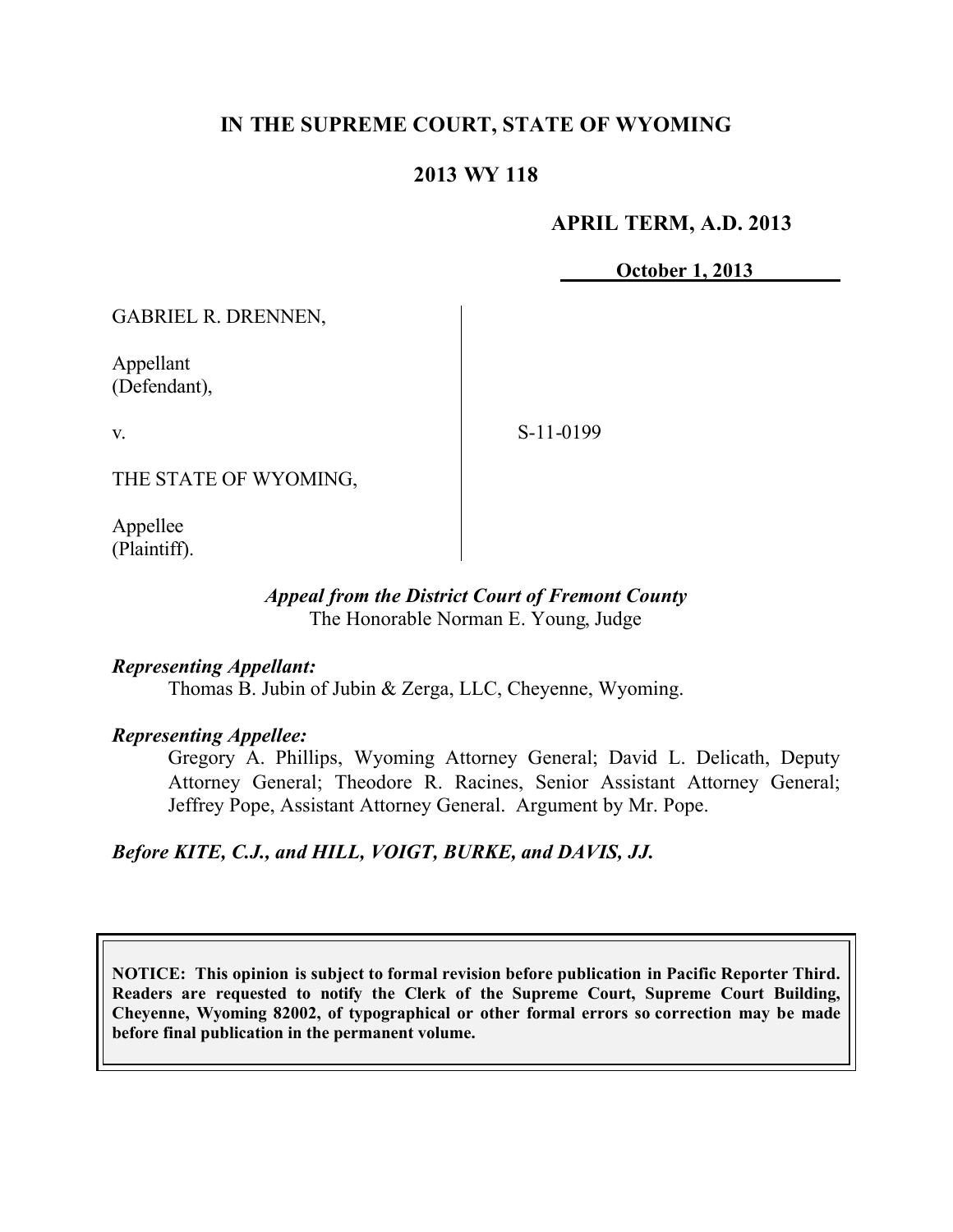### **IN THE SUPREME COURT, STATE OF WYOMING**

### **2013 WY 118**

#### **APRIL TERM, A.D. 2013**

**October 1, 2013**

GABRIEL R. DRENNEN,

Appellant (Defendant),

v.

S-11-0199

THE STATE OF WYOMING,

Appellee (Plaintiff).

#### *Appeal from the District Court of Fremont County* The Honorable Norman E. Young, Judge

#### *Representing Appellant:*

Thomas B. Jubin of Jubin & Zerga, LLC, Cheyenne, Wyoming.

#### *Representing Appellee:*

Gregory A. Phillips, Wyoming Attorney General; David L. Delicath, Deputy Attorney General; Theodore R. Racines, Senior Assistant Attorney General; Jeffrey Pope, Assistant Attorney General. Argument by Mr. Pope.

#### *Before KITE, C.J., and HILL, VOIGT, BURKE, and DAVIS, JJ.*

**NOTICE: This opinion is subject to formal revision before publication in Pacific Reporter Third. Readers are requested to notify the Clerk of the Supreme Court, Supreme Court Building, Cheyenne, Wyoming 82002, of typographical or other formal errors so correction may be made before final publication in the permanent volume.**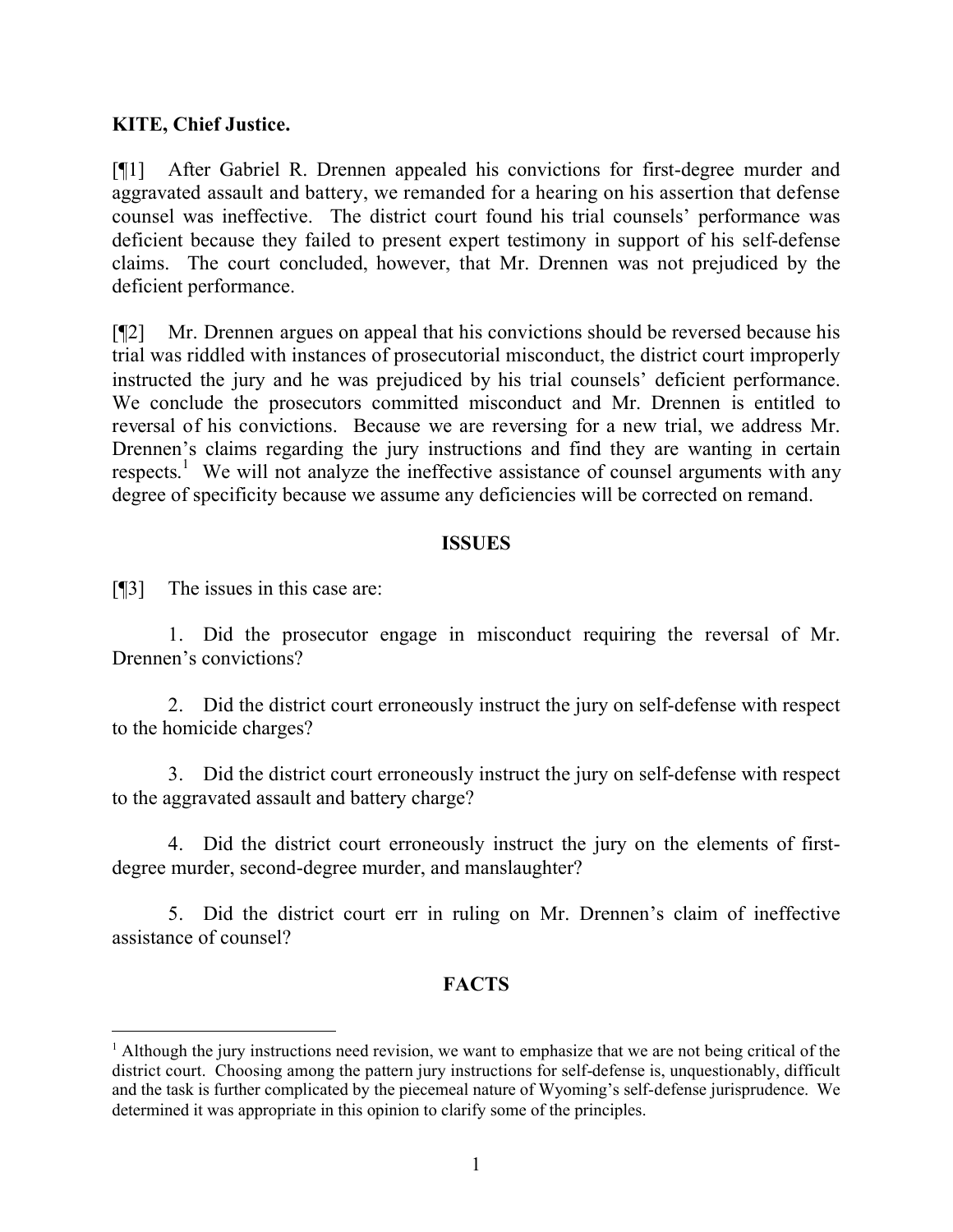### **KITE, Chief Justice.**

[¶1] After Gabriel R. Drennen appealed his convictions for first-degree murder and aggravated assault and battery, we remanded for a hearing on his assertion that defense counsel was ineffective. The district court found his trial counsels' performance was deficient because they failed to present expert testimony in support of his self-defense claims. The court concluded, however, that Mr. Drennen was not prejudiced by the deficient performance.

[¶2] Mr. Drennen argues on appeal that his convictions should be reversed because his trial was riddled with instances of prosecutorial misconduct, the district court improperly instructed the jury and he was prejudiced by his trial counsels' deficient performance. We conclude the prosecutors committed misconduct and Mr. Drennen is entitled to reversal of his convictions. Because we are reversing for a new trial, we address Mr. Drennen's claims regarding the jury instructions and find they are wanting in certain respects.<sup>1</sup> We will not analyze the ineffective assistance of counsel arguments with any degree of specificity because we assume any deficiencies will be corrected on remand.

#### **ISSUES**

[¶3] The issues in this case are:

 $\overline{a}$ 

1. Did the prosecutor engage in misconduct requiring the reversal of Mr. Drennen's convictions?

2. Did the district court erroneously instruct the jury on self-defense with respect to the homicide charges?

3. Did the district court erroneously instruct the jury on self-defense with respect to the aggravated assault and battery charge?

4. Did the district court erroneously instruct the jury on the elements of firstdegree murder, second-degree murder, and manslaughter?

5. Did the district court err in ruling on Mr. Drennen's claim of ineffective assistance of counsel?

# **FACTS**

<sup>&</sup>lt;sup>1</sup> Although the jury instructions need revision, we want to emphasize that we are not being critical of the district court. Choosing among the pattern jury instructions for self-defense is, unquestionably, difficult and the task is further complicated by the piecemeal nature of Wyoming's self-defense jurisprudence. We determined it was appropriate in this opinion to clarify some of the principles.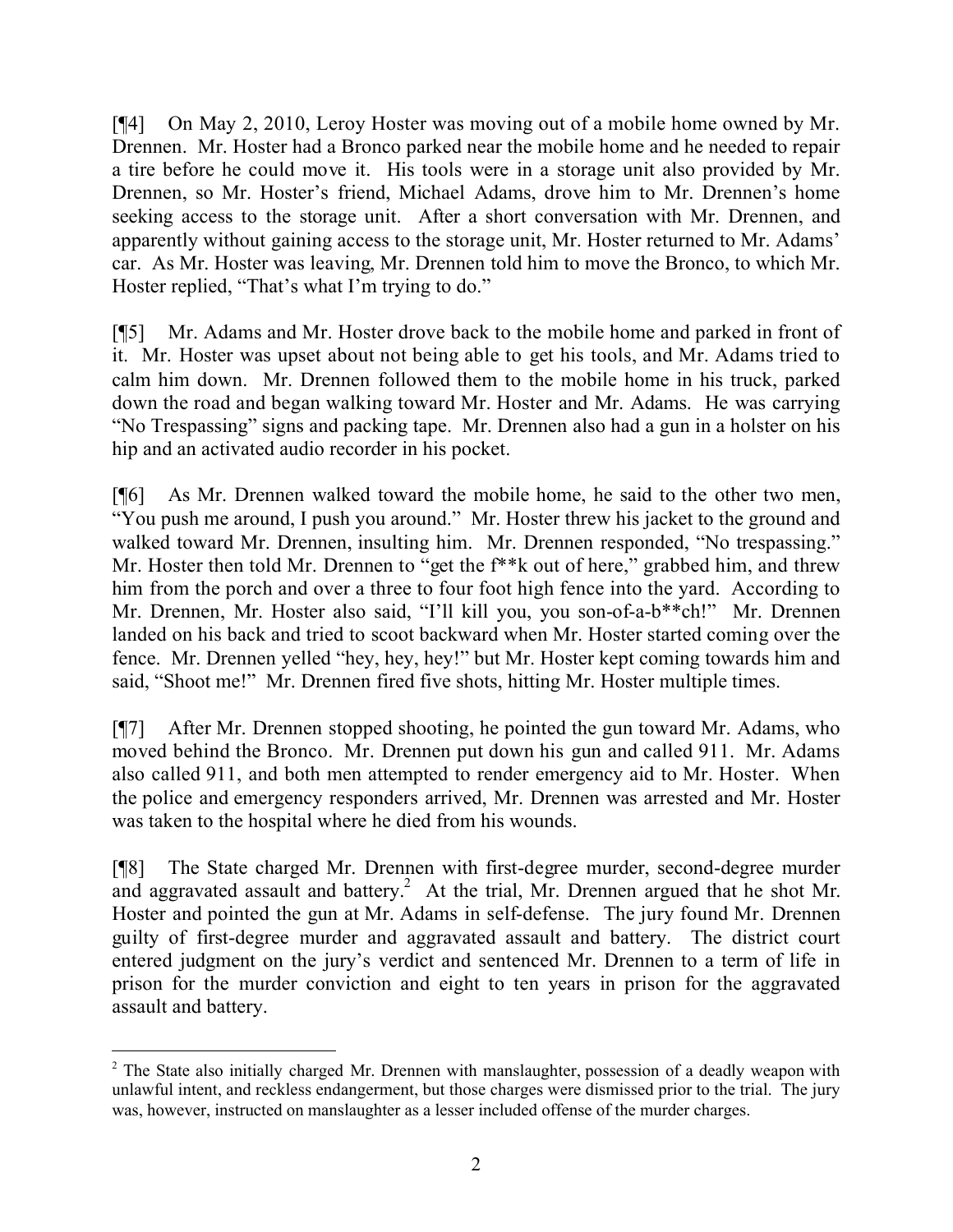[¶4] On May 2, 2010, Leroy Hoster was moving out of a mobile home owned by Mr. Drennen. Mr. Hoster had a Bronco parked near the mobile home and he needed to repair a tire before he could move it. His tools were in a storage unit also provided by Mr. Drennen, so Mr. Hoster's friend, Michael Adams, drove him to Mr. Drennen's home seeking access to the storage unit. After a short conversation with Mr. Drennen, and apparently without gaining access to the storage unit, Mr. Hoster returned to Mr. Adams' car. As Mr. Hoster was leaving, Mr. Drennen told him to move the Bronco, to which Mr. Hoster replied, "That's what I'm trying to do."

[¶5] Mr. Adams and Mr. Hoster drove back to the mobile home and parked in front of it. Mr. Hoster was upset about not being able to get his tools, and Mr. Adams tried to calm him down. Mr. Drennen followed them to the mobile home in his truck, parked down the road and began walking toward Mr. Hoster and Mr. Adams. He was carrying "No Trespassing" signs and packing tape. Mr. Drennen also had a gun in a holster on his hip and an activated audio recorder in his pocket.

[¶6] As Mr. Drennen walked toward the mobile home, he said to the other two men, "You push me around, I push you around." Mr. Hoster threw his jacket to the ground and walked toward Mr. Drennen, insulting him. Mr. Drennen responded, "No trespassing." Mr. Hoster then told Mr. Drennen to "get the f\*\*k out of here," grabbed him, and threw him from the porch and over a three to four foot high fence into the yard. According to Mr. Drennen, Mr. Hoster also said, "I'll kill you, you son-of-a-b\*\*ch!" Mr. Drennen landed on his back and tried to scoot backward when Mr. Hoster started coming over the fence. Mr. Drennen yelled "hey, hey, hey!" but Mr. Hoster kept coming towards him and said, "Shoot me!" Mr. Drennen fired five shots, hitting Mr. Hoster multiple times.

[¶7] After Mr. Drennen stopped shooting, he pointed the gun toward Mr. Adams, who moved behind the Bronco. Mr. Drennen put down his gun and called 911. Mr. Adams also called 911, and both men attempted to render emergency aid to Mr. Hoster. When the police and emergency responders arrived, Mr. Drennen was arrested and Mr. Hoster was taken to the hospital where he died from his wounds.

[¶8] The State charged Mr. Drennen with first-degree murder, second-degree murder and aggravated assault and battery.<sup>2</sup> At the trial, Mr. Drennen argued that he shot Mr. Hoster and pointed the gun at Mr. Adams in self-defense. The jury found Mr. Drennen guilty of first-degree murder and aggravated assault and battery. The district court entered judgment on the jury's verdict and sentenced Mr. Drennen to a term of life in prison for the murder conviction and eight to ten years in prison for the aggravated assault and battery.

 <sup>2</sup> The State also initially charged Mr. Drennen with manslaughter, possession of a deadly weapon with unlawful intent, and reckless endangerment, but those charges were dismissed prior to the trial. The jury was, however, instructed on manslaughter as a lesser included offense of the murder charges.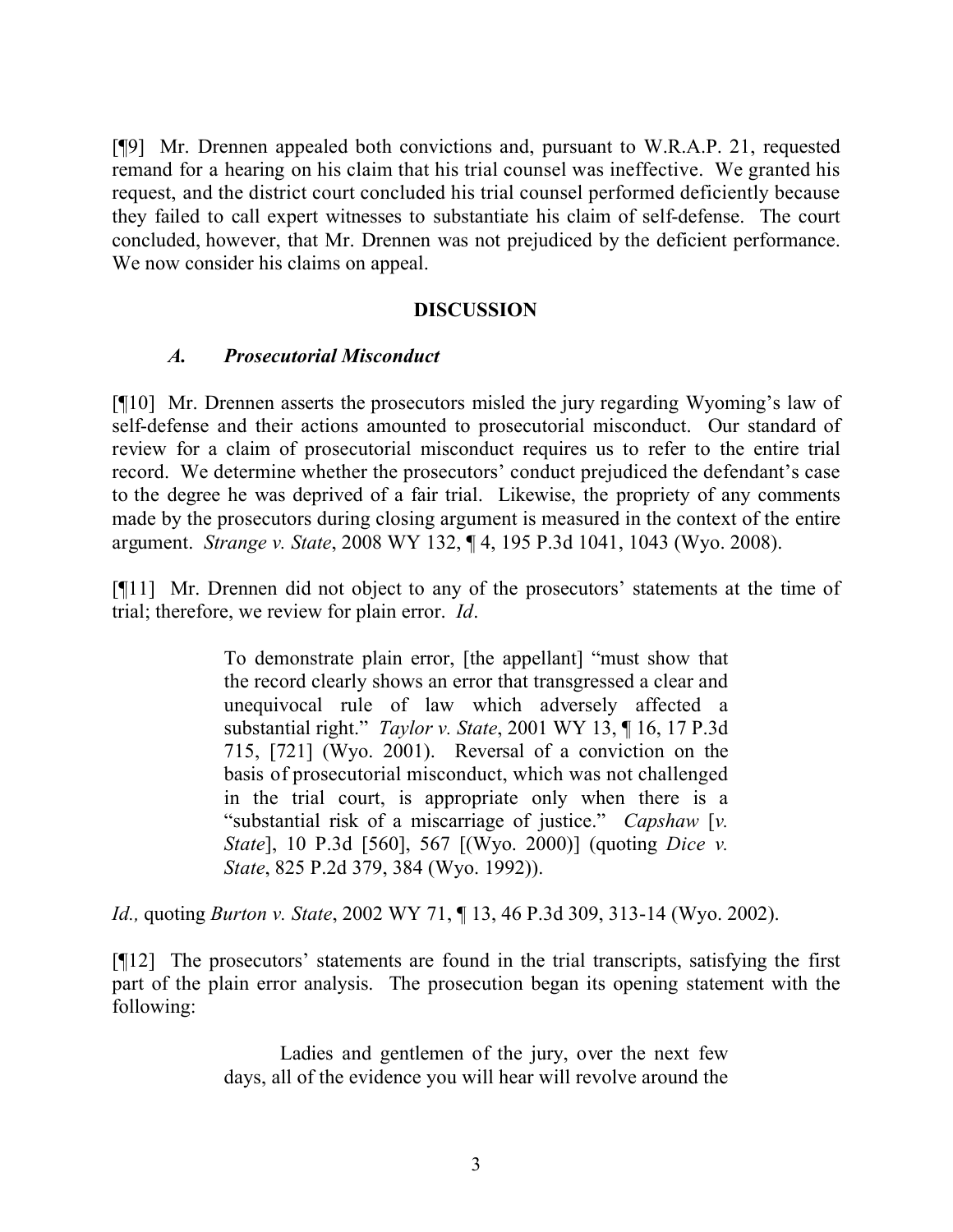[¶9] Mr. Drennen appealed both convictions and, pursuant to W.R.A.P. 21, requested remand for a hearing on his claim that his trial counsel was ineffective. We granted his request, and the district court concluded his trial counsel performed deficiently because they failed to call expert witnesses to substantiate his claim of self-defense. The court concluded, however, that Mr. Drennen was not prejudiced by the deficient performance. We now consider his claims on appeal.

#### **DISCUSSION**

#### *A. Prosecutorial Misconduct*

[¶10] Mr. Drennen asserts the prosecutors misled the jury regarding Wyoming's law of self-defense and their actions amounted to prosecutorial misconduct. Our standard of review for a claim of prosecutorial misconduct requires us to refer to the entire trial record. We determine whether the prosecutors' conduct prejudiced the defendant's case to the degree he was deprived of a fair trial. Likewise, the propriety of any comments made by the prosecutors during closing argument is measured in the context of the entire argument. *Strange v. State*, 2008 WY 132, ¶ 4, 195 P.3d 1041, 1043 (Wyo. 2008).

[¶11] Mr. Drennen did not object to any of the prosecutors' statements at the time of trial; therefore, we review for plain error. *Id*.

> To demonstrate plain error, [the appellant] "must show that the record clearly shows an error that transgressed a clear and unequivocal rule of law which adversely affected a substantial right." *Taylor v. State*, 2001 WY 13, ¶ 16, 17 P.3d 715, [721] (Wyo. 2001). Reversal of a conviction on the basis of prosecutorial misconduct, which was not challenged in the trial court, is appropriate only when there is a "substantial risk of a miscarriage of justice." *Capshaw* [*v. State*], 10 P.3d [560], 567 [(Wyo. 2000)] (quoting *Dice v. State*, 825 P.2d 379, 384 (Wyo. 1992)).

*Id.,* quoting *Burton v. State*, 2002 WY 71, ¶ 13, 46 P.3d 309, 313-14 (Wyo. 2002).

[¶12] The prosecutors' statements are found in the trial transcripts, satisfying the first part of the plain error analysis. The prosecution began its opening statement with the following:

> Ladies and gentlemen of the jury, over the next few days, all of the evidence you will hear will revolve around the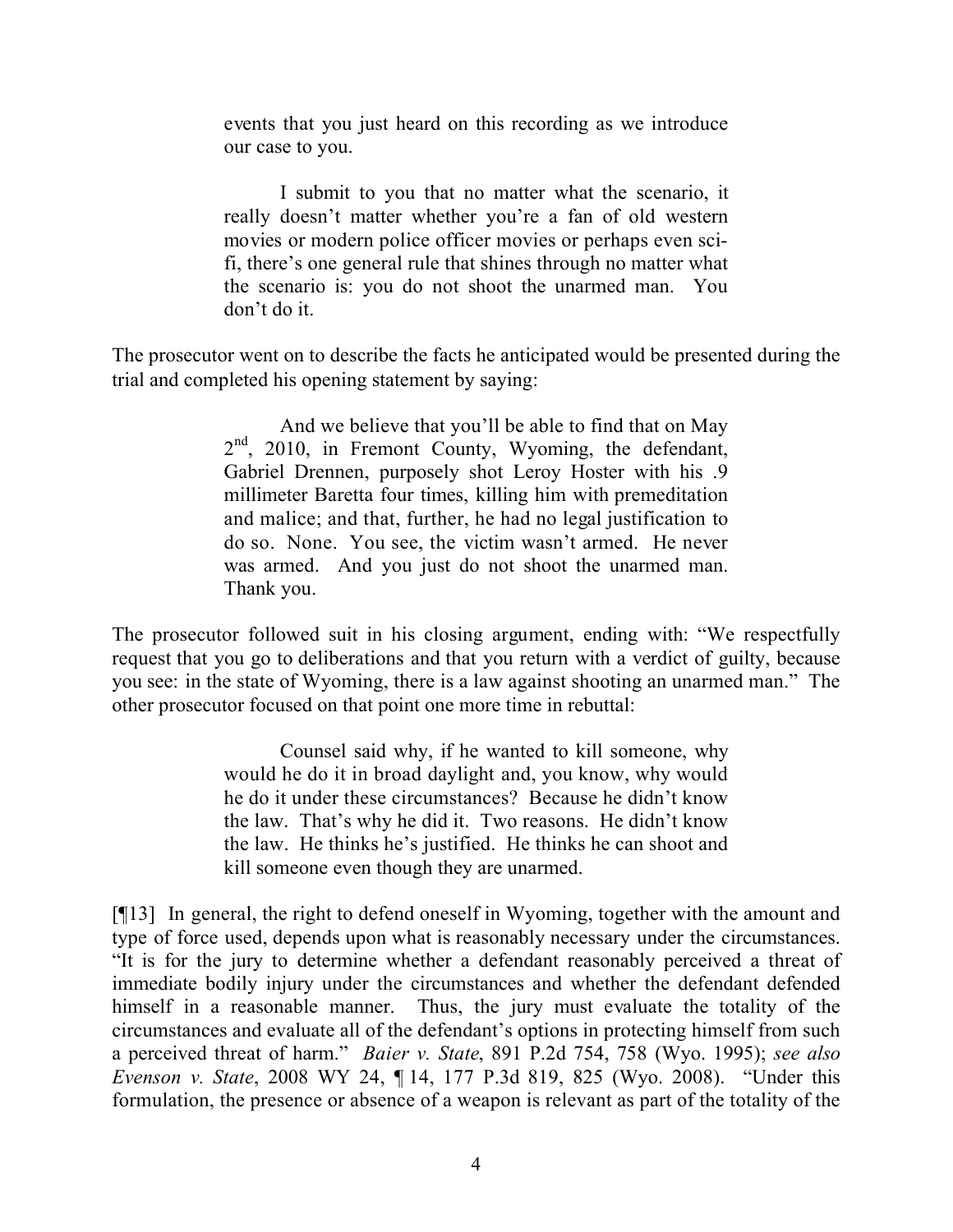events that you just heard on this recording as we introduce our case to you.

I submit to you that no matter what the scenario, it really doesn't matter whether you're a fan of old western movies or modern police officer movies or perhaps even scifi, there's one general rule that shines through no matter what the scenario is: you do not shoot the unarmed man. You don't do it.

The prosecutor went on to describe the facts he anticipated would be presented during the trial and completed his opening statement by saying:

> And we believe that you'll be able to find that on May 2<sup>nd</sup>, 2010, in Fremont County, Wyoming, the defendant, Gabriel Drennen, purposely shot Leroy Hoster with his .9 millimeter Baretta four times, killing him with premeditation and malice; and that, further, he had no legal justification to do so. None. You see, the victim wasn't armed. He never was armed. And you just do not shoot the unarmed man. Thank you.

The prosecutor followed suit in his closing argument, ending with: "We respectfully request that you go to deliberations and that you return with a verdict of guilty, because you see: in the state of Wyoming, there is a law against shooting an unarmed man." The other prosecutor focused on that point one more time in rebuttal:

> Counsel said why, if he wanted to kill someone, why would he do it in broad daylight and, you know, why would he do it under these circumstances? Because he didn't know the law. That's why he did it. Two reasons. He didn't know the law. He thinks he's justified. He thinks he can shoot and kill someone even though they are unarmed.

[¶13] In general, the right to defend oneself in Wyoming, together with the amount and type of force used, depends upon what is reasonably necessary under the circumstances. "It is for the jury to determine whether a defendant reasonably perceived a threat of immediate bodily injury under the circumstances and whether the defendant defended himself in a reasonable manner. Thus, the jury must evaluate the totality of the circumstances and evaluate all of the defendant's options in protecting himself from such a perceived threat of harm." *Baier v. State*, 891 P.2d 754, 758 (Wyo. 1995); *see also Evenson v. State*, 2008 WY 24, ¶ 14, 177 P.3d 819, 825 (Wyo. 2008). "Under this formulation, the presence or absence of a weapon is relevant as part of the totality of the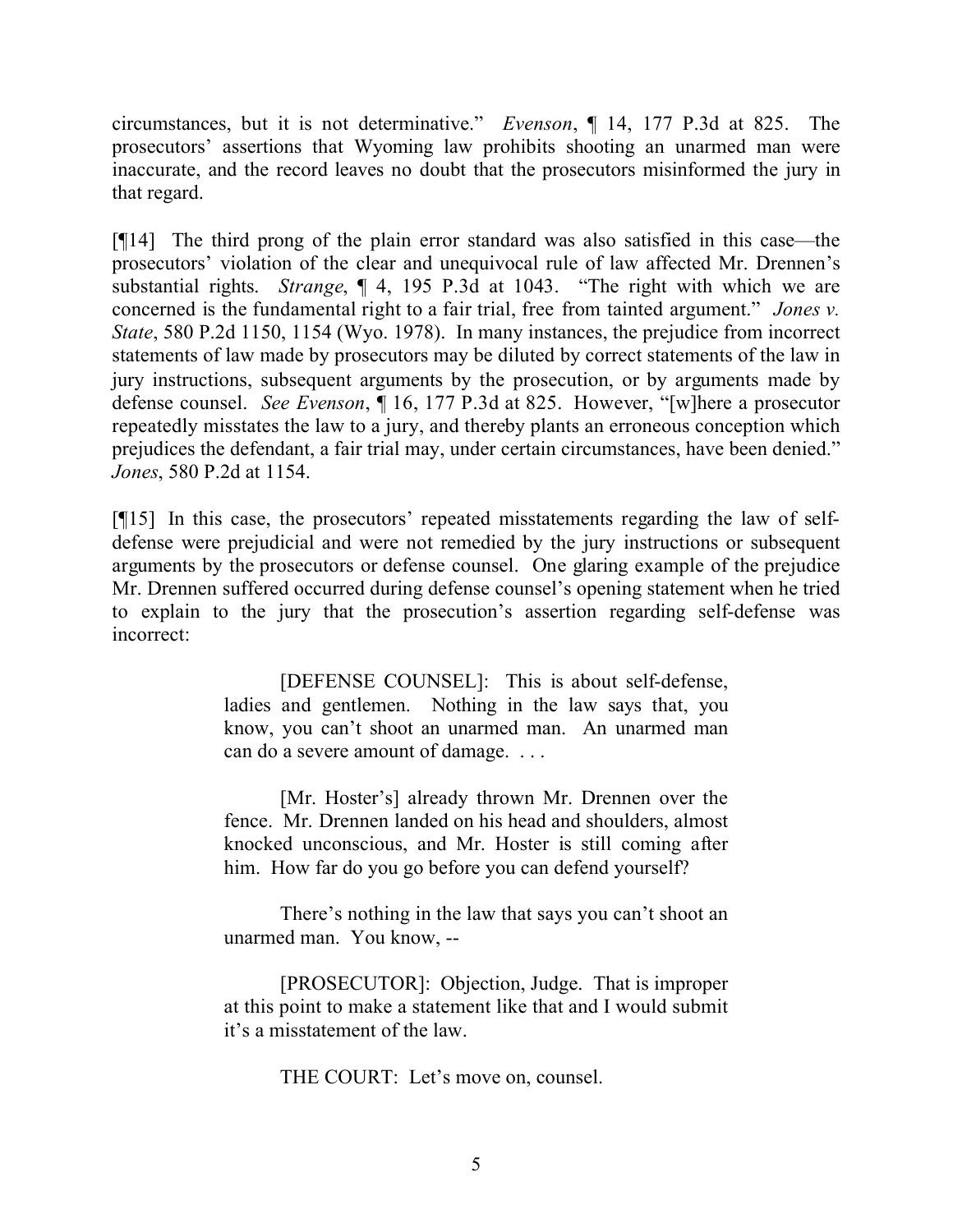circumstances, but it is not determinative." *Evenson*, ¶ 14, 177 P.3d at 825. The prosecutors' assertions that Wyoming law prohibits shooting an unarmed man were inaccurate, and the record leaves no doubt that the prosecutors misinformed the jury in that regard.

[¶14] The third prong of the plain error standard was also satisfied in this case—the prosecutors' violation of the clear and unequivocal rule of law affected Mr. Drennen's substantial rights. *Strange*, ¶ 4, 195 P.3d at 1043. "The right with which we are concerned is the fundamental right to a fair trial, free from tainted argument." *Jones v. State*, 580 P.2d 1150, 1154 (Wyo. 1978). In many instances, the prejudice from incorrect statements of law made by prosecutors may be diluted by correct statements of the law in jury instructions, subsequent arguments by the prosecution, or by arguments made by defense counsel. *See Evenson*, ¶ 16, 177 P.3d at 825. However, "[w]here a prosecutor repeatedly misstates the law to a jury, and thereby plants an erroneous conception which prejudices the defendant, a fair trial may, under certain circumstances, have been denied." *Jones*, 580 P.2d at 1154.

[¶15] In this case, the prosecutors' repeated misstatements regarding the law of selfdefense were prejudicial and were not remedied by the jury instructions or subsequent arguments by the prosecutors or defense counsel. One glaring example of the prejudice Mr. Drennen suffered occurred during defense counsel's opening statement when he tried to explain to the jury that the prosecution's assertion regarding self-defense was incorrect:

> [DEFENSE COUNSEL]: This is about self-defense, ladies and gentlemen. Nothing in the law says that, you know, you can't shoot an unarmed man. An unarmed man can do a severe amount of damage. . . .

> [Mr. Hoster's] already thrown Mr. Drennen over the fence. Mr. Drennen landed on his head and shoulders, almost knocked unconscious, and Mr. Hoster is still coming after him. How far do you go before you can defend yourself?

> There's nothing in the law that says you can't shoot an unarmed man. You know, --

> [PROSECUTOR]: Objection, Judge. That is improper at this point to make a statement like that and I would submit it's a misstatement of the law.

> > THE COURT: Let's move on, counsel.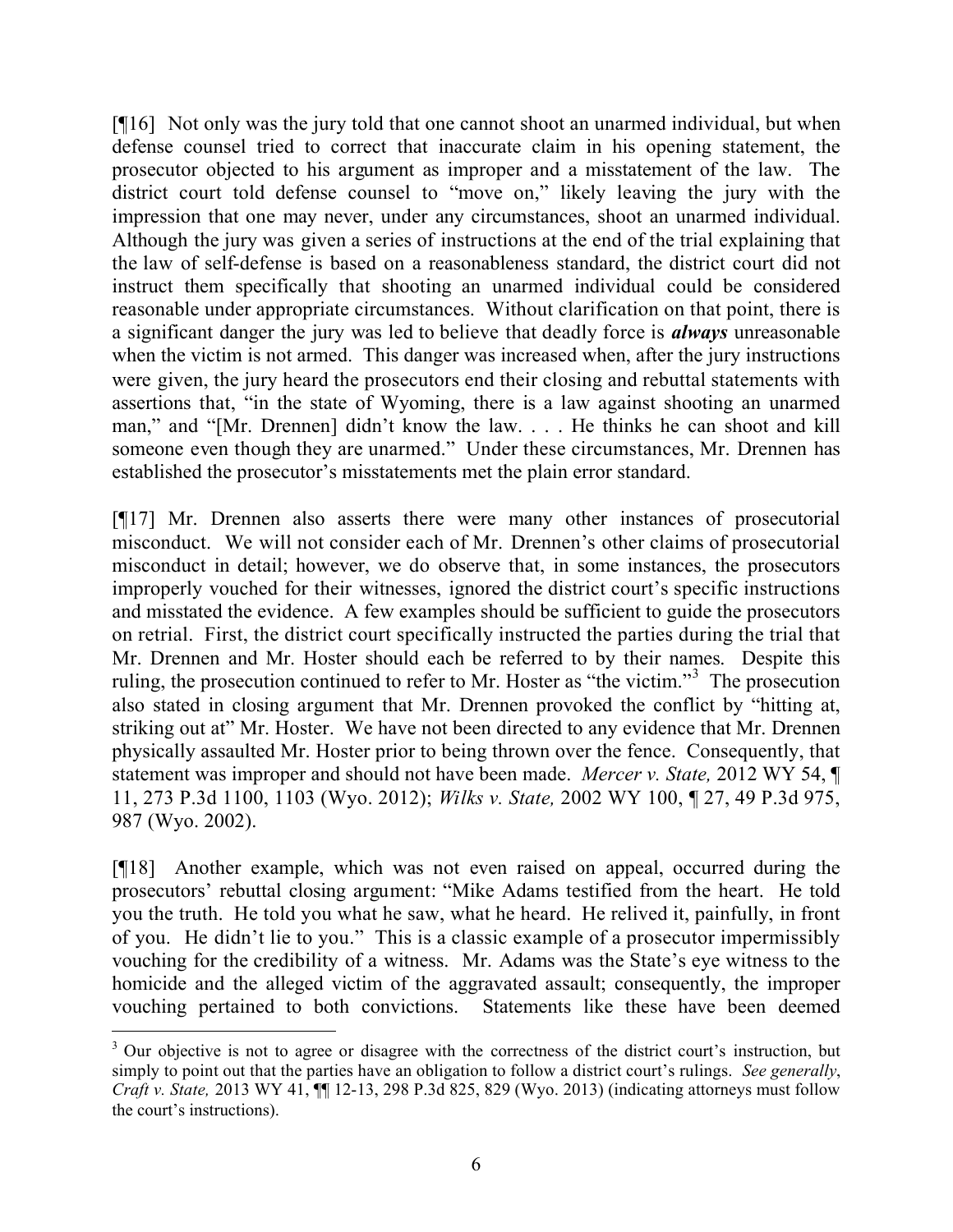[¶16] Not only was the jury told that one cannot shoot an unarmed individual, but when defense counsel tried to correct that inaccurate claim in his opening statement, the prosecutor objected to his argument as improper and a misstatement of the law. The district court told defense counsel to "move on," likely leaving the jury with the impression that one may never, under any circumstances, shoot an unarmed individual. Although the jury was given a series of instructions at the end of the trial explaining that the law of self-defense is based on a reasonableness standard, the district court did not instruct them specifically that shooting an unarmed individual could be considered reasonable under appropriate circumstances. Without clarification on that point, there is a significant danger the jury was led to believe that deadly force is *always* unreasonable when the victim is not armed. This danger was increased when, after the jury instructions were given, the jury heard the prosecutors end their closing and rebuttal statements with assertions that, "in the state of Wyoming, there is a law against shooting an unarmed man," and "[Mr. Drennen] didn't know the law. . . . He thinks he can shoot and kill someone even though they are unarmed." Under these circumstances, Mr. Drennen has established the prosecutor's misstatements met the plain error standard.

[¶17] Mr. Drennen also asserts there were many other instances of prosecutorial misconduct. We will not consider each of Mr. Drennen's other claims of prosecutorial misconduct in detail; however, we do observe that, in some instances, the prosecutors improperly vouched for their witnesses, ignored the district court's specific instructions and misstated the evidence. A few examples should be sufficient to guide the prosecutors on retrial. First, the district court specifically instructed the parties during the trial that Mr. Drennen and Mr. Hoster should each be referred to by their names. Despite this ruling, the prosecution continued to refer to Mr. Hoster as "the victim."<sup>3</sup> The prosecution also stated in closing argument that Mr. Drennen provoked the conflict by "hitting at, striking out at" Mr. Hoster. We have not been directed to any evidence that Mr. Drennen physically assaulted Mr. Hoster prior to being thrown over the fence. Consequently, that statement was improper and should not have been made. *Mercer v. State,* 2012 WY 54, ¶ 11, 273 P.3d 1100, 1103 (Wyo. 2012); *Wilks v. State,* 2002 WY 100, ¶ 27, 49 P.3d 975, 987 (Wyo. 2002).

[¶18] Another example, which was not even raised on appeal, occurred during the prosecutors' rebuttal closing argument: "Mike Adams testified from the heart. He told you the truth. He told you what he saw, what he heard. He relived it, painfully, in front of you. He didn't lie to you." This is a classic example of a prosecutor impermissibly vouching for the credibility of a witness. Mr. Adams was the State's eye witness to the homicide and the alleged victim of the aggravated assault; consequently, the improper vouching pertained to both convictions. Statements like these have been deemed

<sup>&</sup>lt;sup>3</sup> Our objective is not to agree or disagree with the correctness of the district court's instruction, but simply to point out that the parties have an obligation to follow a district court's rulings. *See generally*, *Craft v. State,* 2013 WY 41, ¶¶ 12-13, 298 P.3d 825, 829 (Wyo. 2013) (indicating attorneys must follow the court's instructions).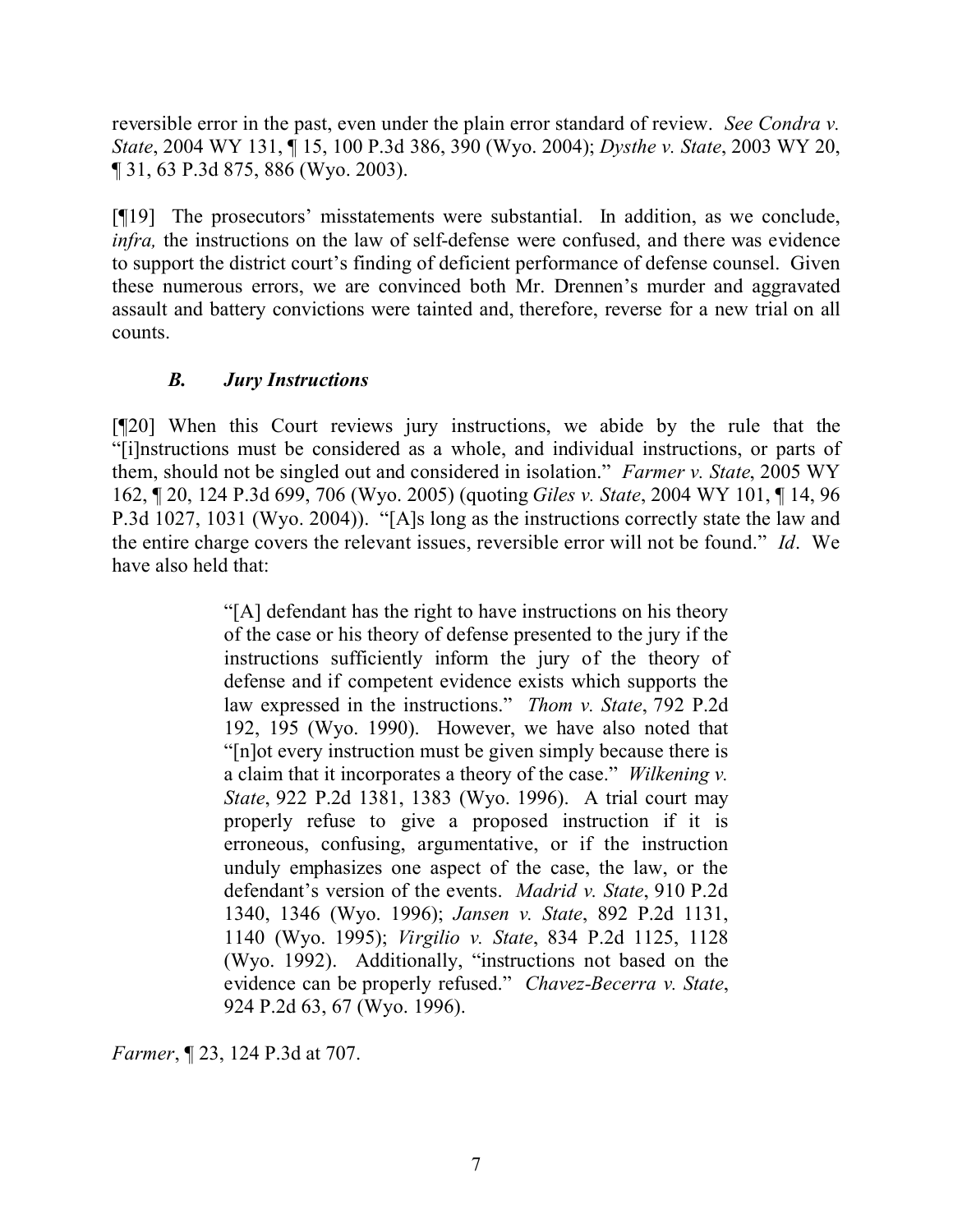reversible error in the past, even under the plain error standard of review. *See Condra v. State*, 2004 WY 131, ¶ 15, 100 P.3d 386, 390 (Wyo. 2004); *Dysthe v. State*, 2003 WY 20, ¶ 31, 63 P.3d 875, 886 (Wyo. 2003).

[¶19] The prosecutors' misstatements were substantial. In addition, as we conclude, *infra*, the instructions on the law of self-defense were confused, and there was evidence to support the district court's finding of deficient performance of defense counsel. Given these numerous errors, we are convinced both Mr. Drennen's murder and aggravated assault and battery convictions were tainted and, therefore, reverse for a new trial on all counts.

### *B. Jury Instructions*

[¶20] When this Court reviews jury instructions, we abide by the rule that the "[i]nstructions must be considered as a whole, and individual instructions, or parts of them, should not be singled out and considered in isolation." *Farmer v. State*, 2005 WY 162, ¶ 20, 124 P.3d 699, 706 (Wyo. 2005) (quoting *Giles v. State*, 2004 WY 101, ¶ 14, 96 P.3d 1027, 1031 (Wyo. 2004)). "[A]s long as the instructions correctly state the law and the entire charge covers the relevant issues, reversible error will not be found." *Id*. We have also held that:

> "[A] defendant has the right to have instructions on his theory of the case or his theory of defense presented to the jury if the instructions sufficiently inform the jury of the theory of defense and if competent evidence exists which supports the law expressed in the instructions." *Thom v. State*, 792 P.2d 192, 195 (Wyo. 1990). However, we have also noted that "[n]ot every instruction must be given simply because there is a claim that it incorporates a theory of the case." *Wilkening v. State*, 922 P.2d 1381, 1383 (Wyo. 1996). A trial court may properly refuse to give a proposed instruction if it is erroneous, confusing, argumentative, or if the instruction unduly emphasizes one aspect of the case, the law, or the defendant's version of the events. *Madrid v. State*, 910 P.2d 1340, 1346 (Wyo. 1996); *Jansen v. State*, 892 P.2d 1131, 1140 (Wyo. 1995); *Virgilio v. State*, 834 P.2d 1125, 1128 (Wyo. 1992). Additionally, "instructions not based on the evidence can be properly refused." *Chavez-Becerra v. State*, 924 P.2d 63, 67 (Wyo. 1996).

*Farmer*, ¶ 23, 124 P.3d at 707.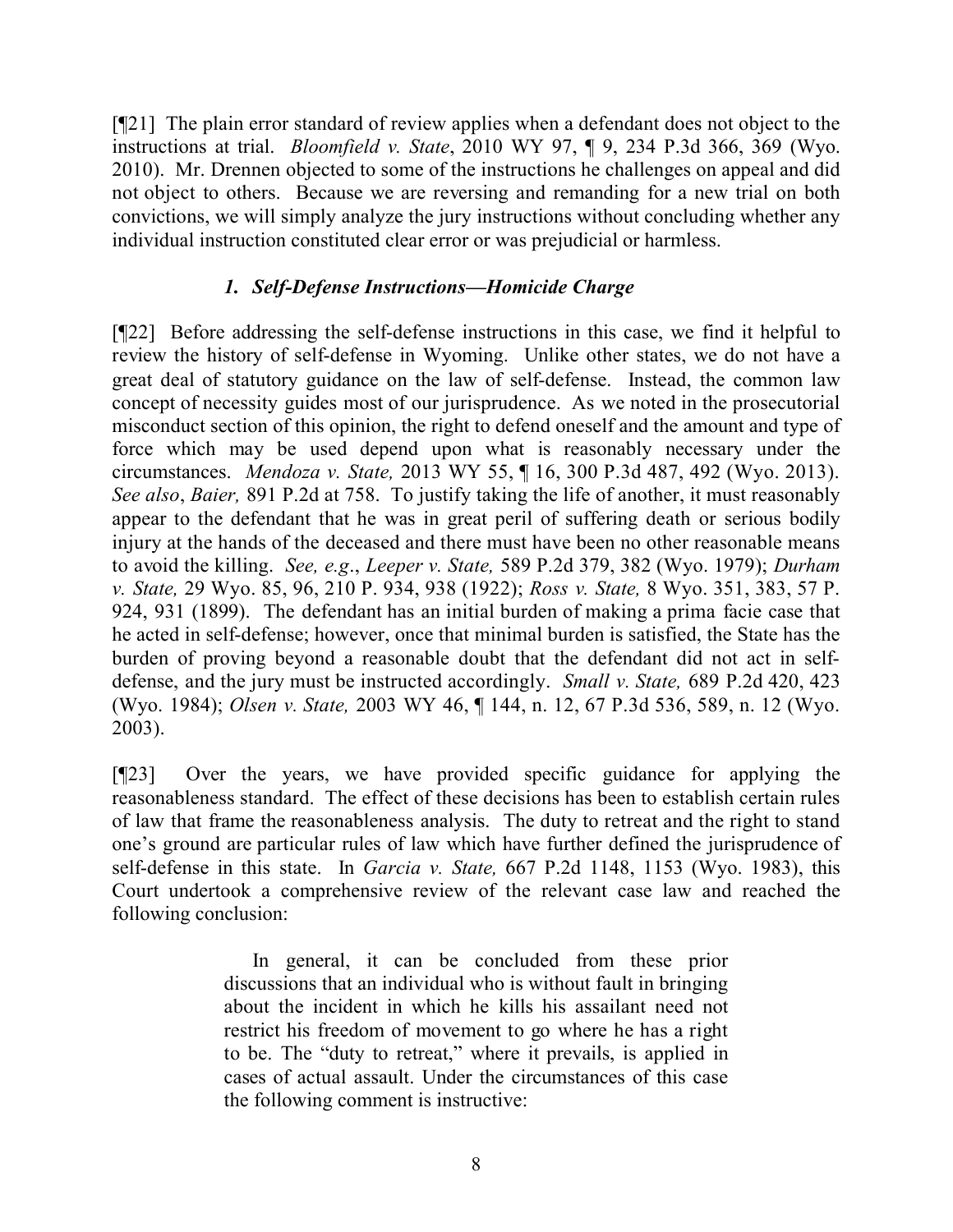[¶21] The plain error standard of review applies when a defendant does not object to the instructions at trial. *Bloomfield v. State*, 2010 WY 97, ¶ 9, 234 P.3d 366, 369 (Wyo. 2010). Mr. Drennen objected to some of the instructions he challenges on appeal and did not object to others. Because we are reversing and remanding for a new trial on both convictions, we will simply analyze the jury instructions without concluding whether any individual instruction constituted clear error or was prejudicial or harmless.

### *1. Self-Defense Instructions—Homicide Charge*

[¶22]Before addressing the self-defense instructions in this case, we find it helpful to review the history of self-defense in Wyoming. Unlike other states, we do not have a great deal of statutory guidance on the law of self-defense. Instead, the common law concept of necessity guides most of our jurisprudence. As we noted in the prosecutorial misconduct section of this opinion, the right to defend oneself and the amount and type of force which may be used depend upon what is reasonably necessary under the circumstances. *Mendoza v. State,* 2013 WY 55, ¶ 16, 300 P.3d 487, 492 (Wyo. 2013). *See also*, *Baier,* 891 P.2d at 758. To justify taking the life of another, it must reasonably appear to the defendant that he was in great peril of suffering death or serious bodily injury at the hands of the deceased and there must have been no other reasonable means to avoid the killing. *See, e.g*., *Leeper v. State,* 589 P.2d 379, 382 (Wyo. 1979); *Durham v. State,* 29 Wyo. 85, 96, 210 P. 934, 938 (1922); *Ross v. State,* 8 Wyo. 351, 383, 57 P. 924, 931 (1899). The defendant has an initial burden of making a prima facie case that he acted in self-defense; however, once that minimal burden is satisfied, the State has the burden of proving beyond a reasonable doubt that the defendant did not act in selfdefense, and the jury must be instructed accordingly. *Small v. State,* 689 P.2d 420, 423 (Wyo. 1984); *Olsen v. State,* 2003 WY 46, ¶ 144, n. 12, 67 P.3d 536, 589, n. 12 (Wyo. 2003).

[¶23] Over the years, we have provided specific guidance for applying the reasonableness standard. The effect of these decisions has been to establish certain rules of law that frame the reasonableness analysis. The duty to retreat and the right to stand one's ground are particular rules of law which have further defined the jurisprudence of self-defense in this state. In *Garcia v. State,* 667 P.2d 1148, 1153 (Wyo. 1983), this Court undertook a comprehensive review of the relevant case law and reached the following conclusion:

> In general, it can be concluded from these prior discussions that an individual who is without fault in bringing about the incident in which he kills his assailant need not restrict his freedom of movement to go where he has a right to be. The "duty to retreat," where it prevails, is applied in cases of actual assault. Under the circumstances of this case the following comment is instructive: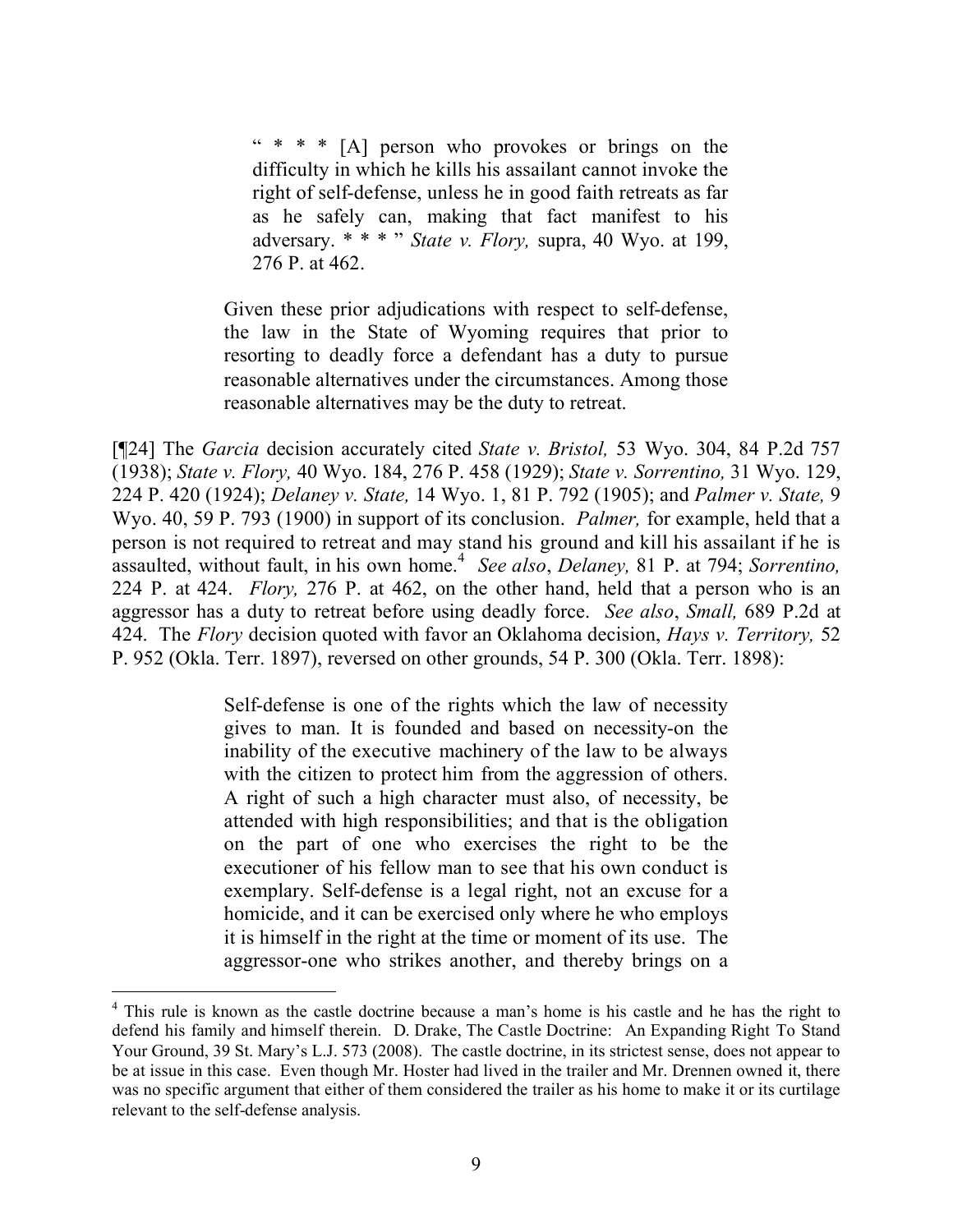"  $* * * [A]$  person who provokes or brings on the difficulty in which he kills his assailant cannot invoke the right of self-defense, unless he in good faith retreats as far as he safely can, making that fact manifest to his adversary. \* \* \* " *State v. Flory,* supra, 40 Wyo. at 199, 276 P. at 462.

Given these prior adjudications with respect to self-defense, the law in the State of Wyoming requires that prior to resorting to deadly force a defendant has a duty to pursue reasonable alternatives under the circumstances. Among those reasonable alternatives may be the duty to retreat.

[¶24] The *Garcia* decision accurately cited *State v. Bristol,* 53 Wyo. 304, 84 P.2d 757 (1938); *State v. Flory,* 40 Wyo. 184, 276 P. 458 (1929); *State v. Sorrentino,* 31 Wyo. 129, 224 P. 420 (1924); *Delaney v. State,* 14 Wyo. 1, 81 P. 792 (1905); and *Palmer v. State,* 9 Wyo. 40, 59 P. 793 (1900) in support of its conclusion. *Palmer,* for example, held that a person is not required to retreat and may stand his ground and kill his assailant if he is assaulted, without fault, in his own home.<sup>4</sup> *See also*, *Delaney,* 81 P. at 794; *Sorrentino,*  224 P. at 424. *Flory,* 276 P. at 462, on the other hand, held that a person who is an aggressor has a duty to retreat before using deadly force. *See also*, *Small,* 689 P.2d at 424. The *Flory* decision quoted with favor an Oklahoma decision, *Hays v. Territory,* 52 P. 952 (Okla. Terr. 1897), reversed on other grounds, 54 P. 300 (Okla. Terr. 1898):

> Self-defense is one of the rights which the law of necessity gives to man. It is founded and based on necessity-on the inability of the executive machinery of the law to be always with the citizen to protect him from the aggression of others. A right of such a high character must also, of necessity, be attended with high responsibilities; and that is the obligation on the part of one who exercises the right to be the executioner of his fellow man to see that his own conduct is exemplary. Self-defense is a legal right, not an excuse for a homicide, and it can be exercised only where he who employs it is himself in the right at the time or moment of its use. The aggressor-one who strikes another, and thereby brings on a

<sup>&</sup>lt;sup>4</sup> This rule is known as the castle doctrine because a man's home is his castle and he has the right to defend his family and himself therein. D. Drake, The Castle Doctrine: An Expanding Right To Stand Your Ground, 39 St. Mary's L.J. 573 (2008). The castle doctrine, in its strictest sense, does not appear to be at issue in this case. Even though Mr. Hoster had lived in the trailer and Mr. Drennen owned it, there was no specific argument that either of them considered the trailer as his home to make it or its curtilage relevant to the self-defense analysis.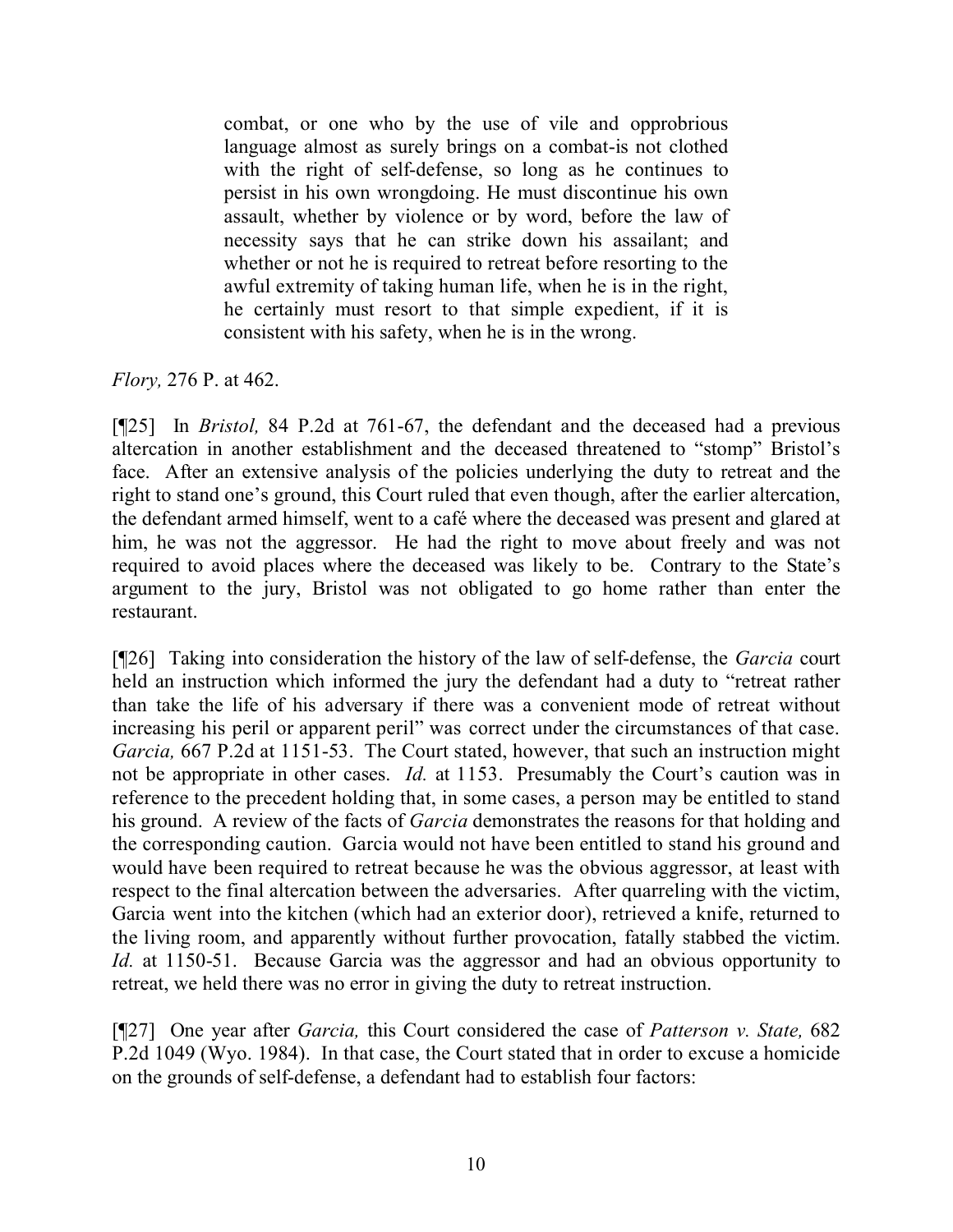combat, or one who by the use of vile and opprobrious language almost as surely brings on a combat-is not clothed with the right of self-defense, so long as he continues to persist in his own wrongdoing. He must discontinue his own assault, whether by violence or by word, before the law of necessity says that he can strike down his assailant; and whether or not he is required to retreat before resorting to the awful extremity of taking human life, when he is in the right, he certainly must resort to that simple expedient, if it is consistent with his safety, when he is in the wrong.

*Flory,* 276 P. at 462.

[¶25] In *Bristol,* 84 P.2d at 761-67, the defendant and the deceased had a previous altercation in another establishment and the deceased threatened to "stomp" Bristol's face. After an extensive analysis of the policies underlying the duty to retreat and the right to stand one's ground, this Court ruled that even though, after the earlier altercation, the defendant armed himself, went to a café where the deceased was present and glared at him, he was not the aggressor. He had the right to move about freely and was not required to avoid places where the deceased was likely to be. Contrary to the State's argument to the jury, Bristol was not obligated to go home rather than enter the restaurant.

[¶26] Taking into consideration the history of the law of self-defense, the *Garcia* court held an instruction which informed the jury the defendant had a duty to "retreat rather than take the life of his adversary if there was a convenient mode of retreat without increasing his peril or apparent peril" was correct under the circumstances of that case. *Garcia,* 667 P.2d at 1151-53. The Court stated, however, that such an instruction might not be appropriate in other cases. *Id.* at 1153. Presumably the Court's caution was in reference to the precedent holding that, in some cases, a person may be entitled to stand his ground. A review of the facts of *Garcia* demonstrates the reasons for that holding and the corresponding caution. Garcia would not have been entitled to stand his ground and would have been required to retreat because he was the obvious aggressor, at least with respect to the final altercation between the adversaries. After quarreling with the victim, Garcia went into the kitchen (which had an exterior door), retrieved a knife, returned to the living room, and apparently without further provocation, fatally stabbed the victim. *Id.* at 1150-51. Because Garcia was the aggressor and had an obvious opportunity to retreat, we held there was no error in giving the duty to retreat instruction.

[¶27] One year after *Garcia,* this Court considered the case of *Patterson v. State,* 682 P.2d 1049 (Wyo. 1984). In that case, the Court stated that in order to excuse a homicide on the grounds of self-defense, a defendant had to establish four factors: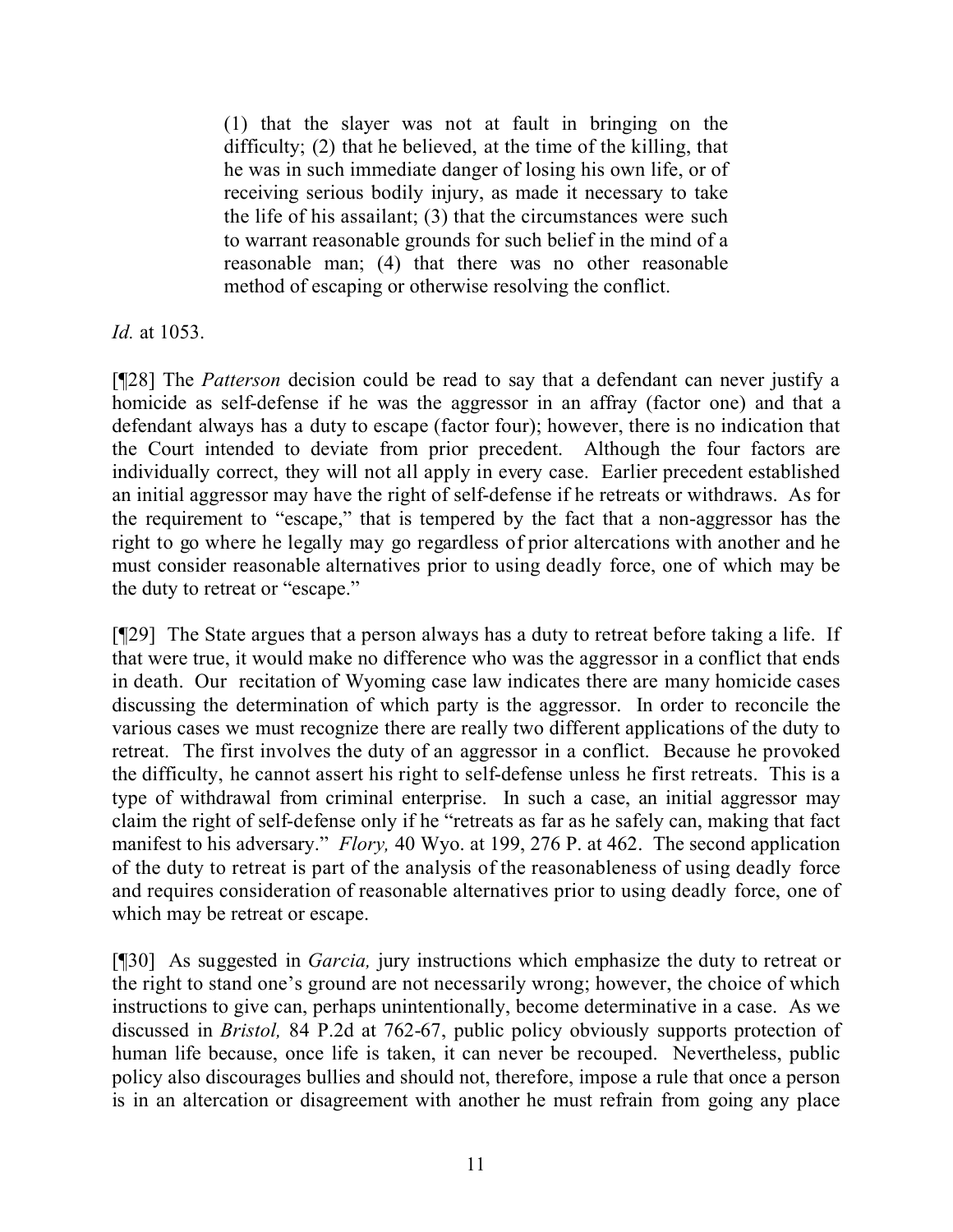(1) that the slayer was not at fault in bringing on the difficulty; (2) that he believed, at the time of the killing, that he was in such immediate danger of losing his own life, or of receiving serious bodily injury, as made it necessary to take the life of his assailant; (3) that the circumstances were such to warrant reasonable grounds for such belief in the mind of a reasonable man; (4) that there was no other reasonable method of escaping or otherwise resolving the conflict.

*Id.* at 1053.

[¶28] The *Patterson* decision could be read to say that a defendant can never justify a homicide as self-defense if he was the aggressor in an affray (factor one) and that a defendant always has a duty to escape (factor four); however, there is no indication that the Court intended to deviate from prior precedent. Although the four factors are individually correct, they will not all apply in every case. Earlier precedent established an initial aggressor may have the right of self-defense if he retreats or withdraws. As for the requirement to "escape," that is tempered by the fact that a non-aggressor has the right to go where he legally may go regardless of prior altercations with another and he must consider reasonable alternatives prior to using deadly force, one of which may be the duty to retreat or "escape."

[¶29] The State argues that a person always has a duty to retreat before taking a life. If that were true, it would make no difference who was the aggressor in a conflict that ends in death. Our recitation of Wyoming case law indicates there are many homicide cases discussing the determination of which party is the aggressor. In order to reconcile the various cases we must recognize there are really two different applications of the duty to retreat. The first involves the duty of an aggressor in a conflict. Because he provoked the difficulty, he cannot assert his right to self-defense unless he first retreats. This is a type of withdrawal from criminal enterprise. In such a case, an initial aggressor may claim the right of self-defense only if he "retreats as far as he safely can, making that fact manifest to his adversary." *Flory,* 40 Wyo. at 199, 276 P. at 462. The second application of the duty to retreat is part of the analysis of the reasonableness of using deadly force and requires consideration of reasonable alternatives prior to using deadly force, one of which may be retreat or escape.

[¶30] As suggested in *Garcia,* jury instructions which emphasize the duty to retreat or the right to stand one's ground are not necessarily wrong; however, the choice of which instructions to give can, perhaps unintentionally, become determinative in a case. As we discussed in *Bristol,* 84 P.2d at 762-67, public policy obviously supports protection of human life because, once life is taken, it can never be recouped. Nevertheless, public policy also discourages bullies and should not, therefore, impose a rule that once a person is in an altercation or disagreement with another he must refrain from going any place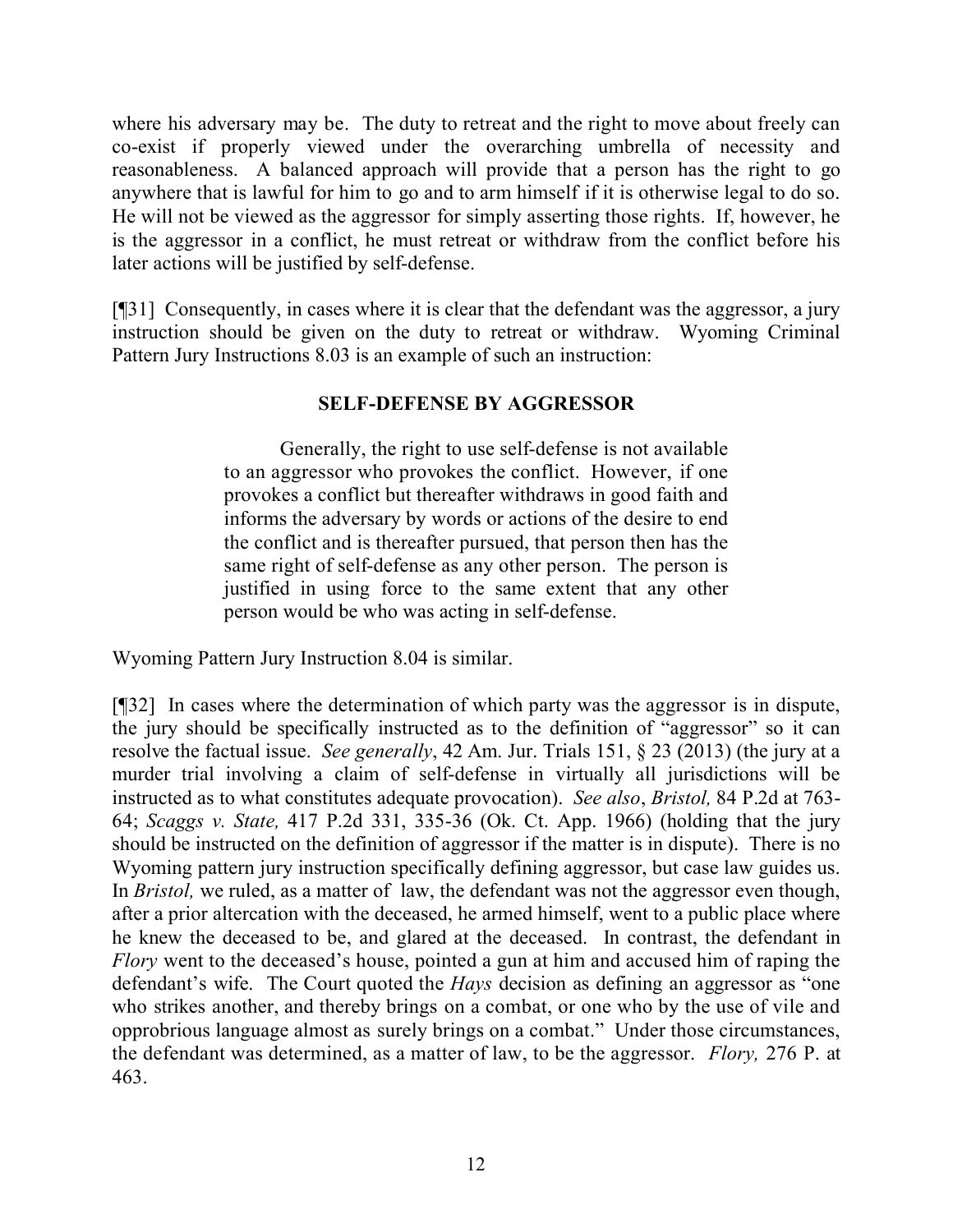where his adversary may be. The duty to retreat and the right to move about freely can co-exist if properly viewed under the overarching umbrella of necessity and reasonableness. A balanced approach will provide that a person has the right to go anywhere that is lawful for him to go and to arm himself if it is otherwise legal to do so. He will not be viewed as the aggressor for simply asserting those rights. If, however, he is the aggressor in a conflict, he must retreat or withdraw from the conflict before his later actions will be justified by self-defense.

[¶31] Consequently, in cases where it is clear that the defendant was the aggressor, a jury instruction should be given on the duty to retreat or withdraw. Wyoming Criminal Pattern Jury Instructions 8.03 is an example of such an instruction:

### **SELF-DEFENSE BY AGGRESSOR**

Generally, the right to use self-defense is not available to an aggressor who provokes the conflict. However, if one provokes a conflict but thereafter withdraws in good faith and informs the adversary by words or actions of the desire to end the conflict and is thereafter pursued, that person then has the same right of self-defense as any other person. The person is justified in using force to the same extent that any other person would be who was acting in self-defense.

Wyoming Pattern Jury Instruction 8.04 is similar.

[¶32] In cases where the determination of which party was the aggressor is in dispute, the jury should be specifically instructed as to the definition of "aggressor" so it can resolve the factual issue. *See generally*, 42 Am. Jur. Trials 151, § 23 (2013) (the jury at a murder trial involving a claim of self-defense in virtually all jurisdictions will be instructed as to what constitutes adequate provocation). *See also*, *Bristol,* 84 P.2d at 763- 64; *Scaggs v. State,* 417 P.2d 331, 335-36 (Ok. Ct. App. 1966) (holding that the jury should be instructed on the definition of aggressor if the matter is in dispute). There is no Wyoming pattern jury instruction specifically defining aggressor, but case law guides us. In *Bristol*, we ruled, as a matter of law, the defendant was not the aggressor even though, after a prior altercation with the deceased, he armed himself, went to a public place where he knew the deceased to be, and glared at the deceased. In contrast, the defendant in *Flory* went to the deceased's house, pointed a gun at him and accused him of raping the defendant's wife. The Court quoted the *Hays* decision as defining an aggressor as "one who strikes another, and thereby brings on a combat, or one who by the use of vile and opprobrious language almost as surely brings on a combat." Under those circumstances, the defendant was determined, as a matter of law, to be the aggressor. *Flory,* 276 P. at 463.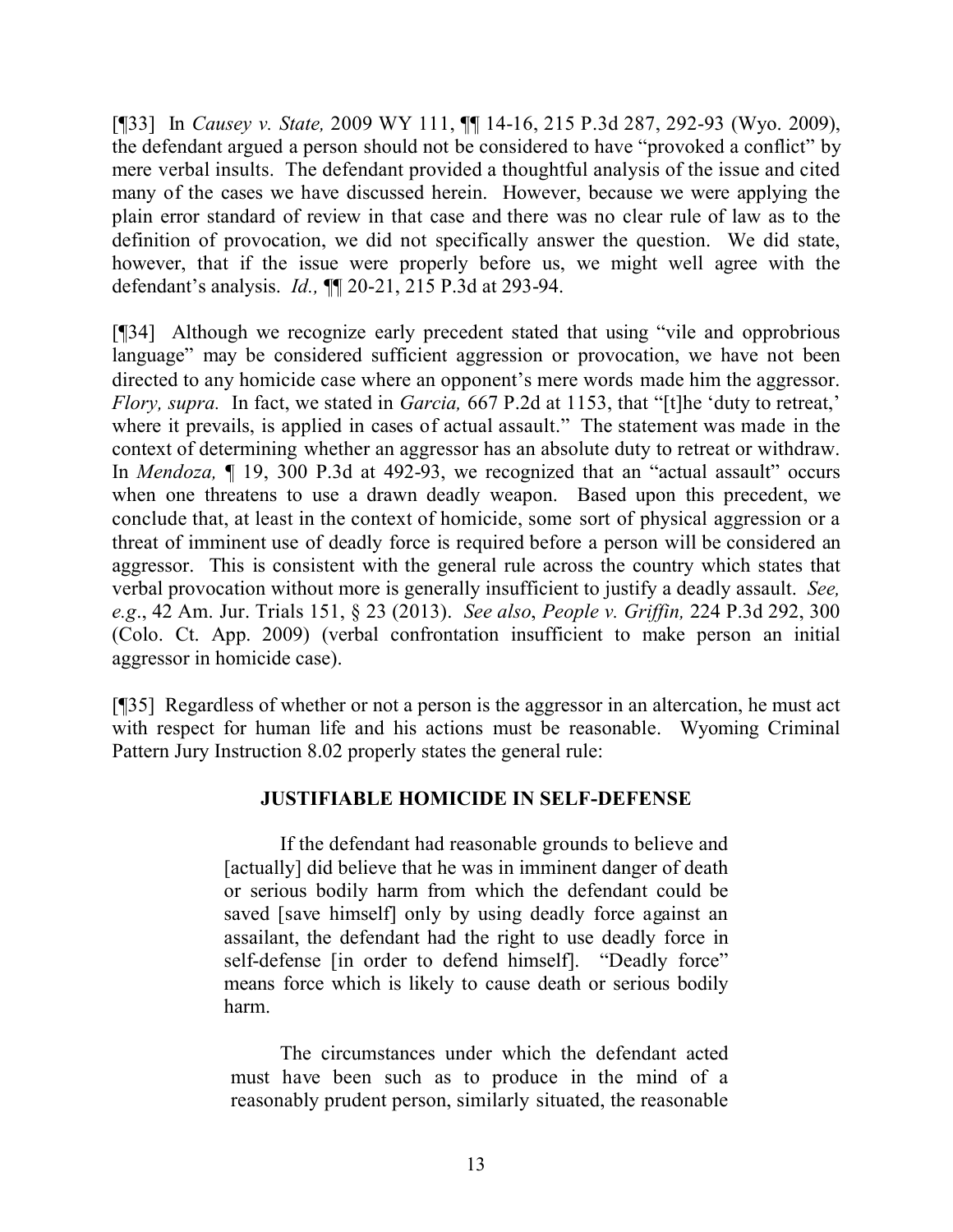[¶33] In *Causey v. State,* 2009 WY 111, ¶¶ 14-16, 215 P.3d 287, 292-93 (Wyo. 2009), the defendant argued a person should not be considered to have "provoked a conflict" by mere verbal insults. The defendant provided a thoughtful analysis of the issue and cited many of the cases we have discussed herein. However, because we were applying the plain error standard of review in that case and there was no clear rule of law as to the definition of provocation, we did not specifically answer the question. We did state, however, that if the issue were properly before us, we might well agree with the defendant's analysis. *Id.,* ¶¶ 20-21, 215 P.3d at 293-94.

[¶34] Although we recognize early precedent stated that using "vile and opprobrious language" may be considered sufficient aggression or provocation, we have not been directed to any homicide case where an opponent's mere words made him the aggressor. *Flory, supra.* In fact, we stated in *Garcia,* 667 P.2d at 1153, that "[t]he 'duty to retreat,' where it prevails, is applied in cases of actual assault." The statement was made in the context of determining whether an aggressor has an absolute duty to retreat or withdraw. In *Mendoza,* ¶ 19, 300 P.3d at 492-93, we recognized that an "actual assault" occurs when one threatens to use a drawn deadly weapon. Based upon this precedent, we conclude that, at least in the context of homicide, some sort of physical aggression or a threat of imminent use of deadly force is required before a person will be considered an aggressor. This is consistent with the general rule across the country which states that verbal provocation without more is generally insufficient to justify a deadly assault. *See, e.g*., 42 Am. Jur. Trials 151, § 23 (2013). *See also*, *People v. Griffin,* 224 P.3d 292, 300 (Colo. Ct. App. 2009) (verbal confrontation insufficient to make person an initial aggressor in homicide case).

[¶35] Regardless of whether or not a person is the aggressor in an altercation, he must act with respect for human life and his actions must be reasonable. Wyoming Criminal Pattern Jury Instruction 8.02 properly states the general rule:

### **JUSTIFIABLE HOMICIDE IN SELF-DEFENSE**

If the defendant had reasonable grounds to believe and [actually] did believe that he was in imminent danger of death or serious bodily harm from which the defendant could be saved [save himself] only by using deadly force against an assailant, the defendant had the right to use deadly force in self-defense [in order to defend himself]. "Deadly force" means force which is likely to cause death or serious bodily harm.

The circumstances under which the defendant acted must have been such as to produce in the mind of a reasonably prudent person, similarly situated, the reasonable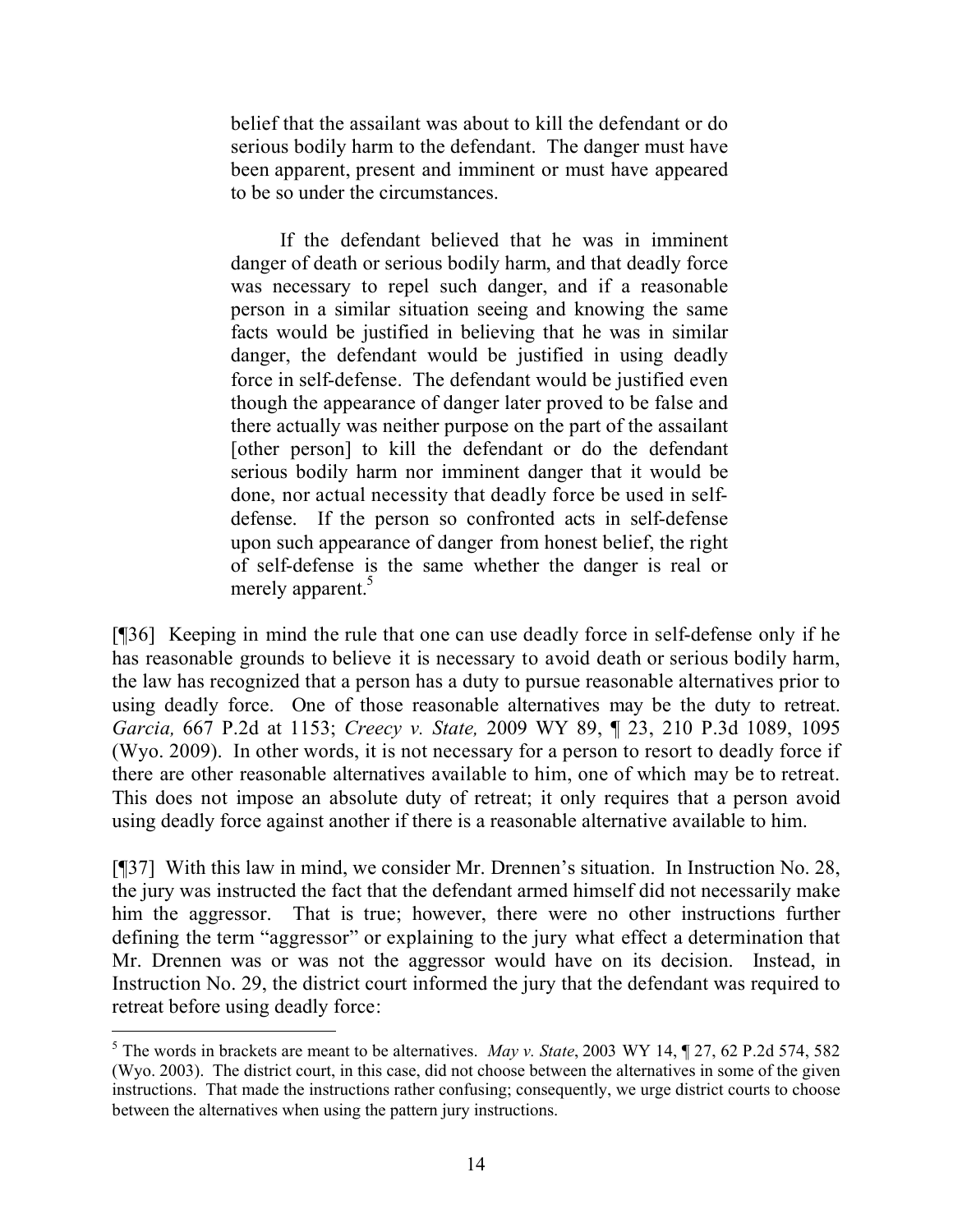belief that the assailant was about to kill the defendant or do serious bodily harm to the defendant. The danger must have been apparent, present and imminent or must have appeared to be so under the circumstances.

If the defendant believed that he was in imminent danger of death or serious bodily harm, and that deadly force was necessary to repel such danger, and if a reasonable person in a similar situation seeing and knowing the same facts would be justified in believing that he was in similar danger, the defendant would be justified in using deadly force in self-defense. The defendant would be justified even though the appearance of danger later proved to be false and there actually was neither purpose on the part of the assailant [other person] to kill the defendant or do the defendant serious bodily harm nor imminent danger that it would be done, nor actual necessity that deadly force be used in selfdefense. If the person so confronted acts in self-defense upon such appearance of danger from honest belief, the right of self-defense is the same whether the danger is real or merely apparent.<sup>5</sup>

[¶36] Keeping in mind the rule that one can use deadly force in self-defense only if he has reasonable grounds to believe it is necessary to avoid death or serious bodily harm, the law has recognized that a person has a duty to pursue reasonable alternatives prior to using deadly force. One of those reasonable alternatives may be the duty to retreat. *Garcia,* 667 P.2d at 1153; *Creecy v. State,* 2009 WY 89, ¶ 23, 210 P.3d 1089, 1095 (Wyo. 2009). In other words, it is not necessary for a person to resort to deadly force if there are other reasonable alternatives available to him, one of which may be to retreat. This does not impose an absolute duty of retreat; it only requires that a person avoid using deadly force against another if there is a reasonable alternative available to him.

[¶37] With this law in mind, we consider Mr. Drennen's situation. In Instruction No. 28, the jury was instructed the fact that the defendant armed himself did not necessarily make him the aggressor. That is true; however, there were no other instructions further defining the term "aggressor" or explaining to the jury what effect a determination that Mr. Drennen was or was not the aggressor would have on its decision. Instead, in Instruction No. 29, the district court informed the jury that the defendant was required to retreat before using deadly force:

<sup>5</sup> The words in brackets are meant to be alternatives. *May v. State*, 2003 WY 14, ¶ 27, 62 P.2d 574, 582 (Wyo. 2003). The district court, in this case, did not choose between the alternatives in some of the given instructions. That made the instructions rather confusing; consequently, we urge district courts to choose between the alternatives when using the pattern jury instructions.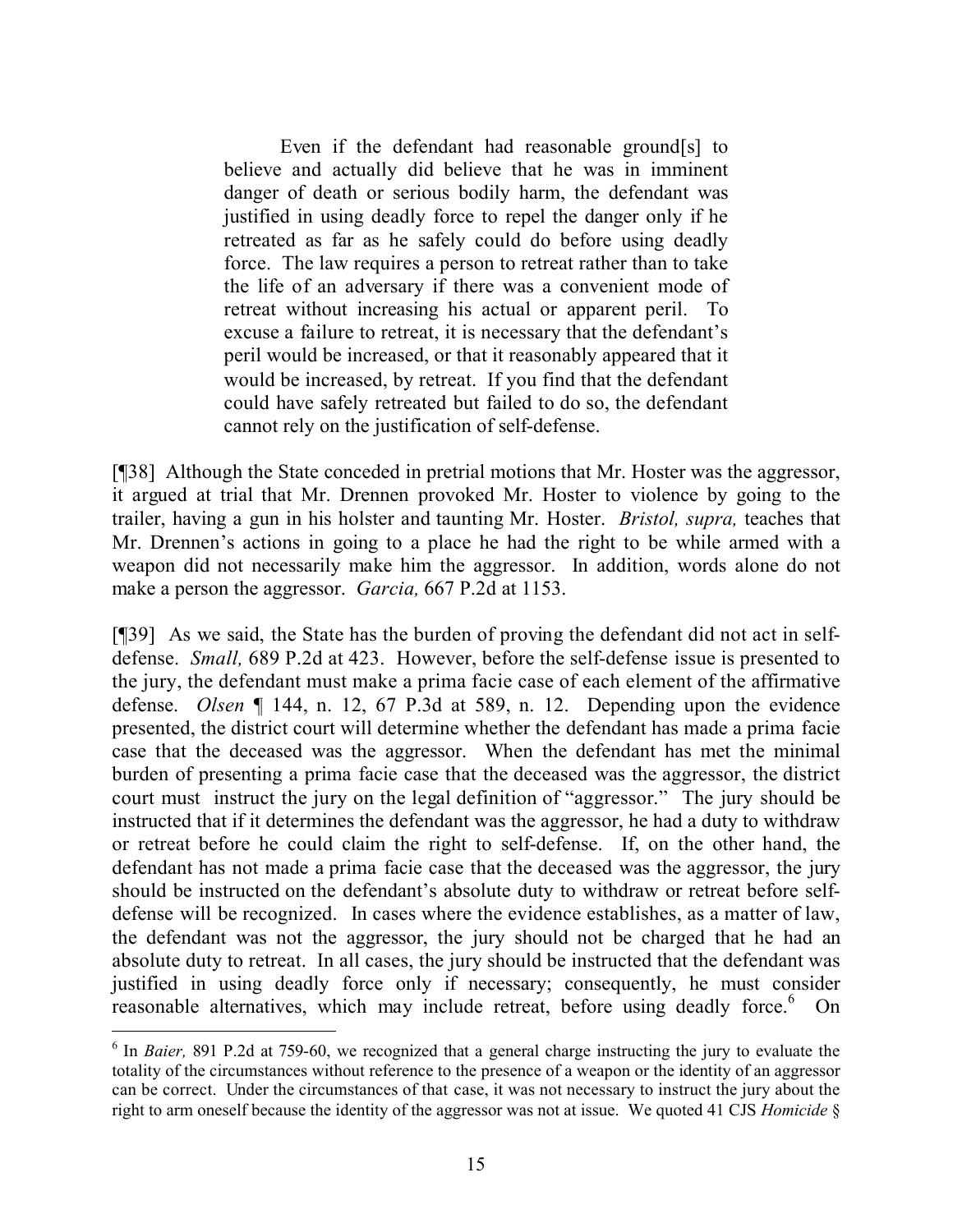Even if the defendant had reasonable ground[s] to believe and actually did believe that he was in imminent danger of death or serious bodily harm, the defendant was justified in using deadly force to repel the danger only if he retreated as far as he safely could do before using deadly force. The law requires a person to retreat rather than to take the life of an adversary if there was a convenient mode of retreat without increasing his actual or apparent peril. To excuse a failure to retreat, it is necessary that the defendant's peril would be increased, or that it reasonably appeared that it would be increased, by retreat. If you find that the defendant could have safely retreated but failed to do so, the defendant cannot rely on the justification of self-defense.

[¶38] Although the State conceded in pretrial motions that Mr. Hoster was the aggressor, it argued at trial that Mr. Drennen provoked Mr. Hoster to violence by going to the trailer, having a gun in his holster and taunting Mr. Hoster. *Bristol, supra,* teaches that Mr. Drennen's actions in going to a place he had the right to be while armed with a weapon did not necessarily make him the aggressor. In addition, words alone do not make a person the aggressor. *Garcia,* 667 P.2d at 1153.

[¶39] As we said, the State has the burden of proving the defendant did not act in selfdefense. *Small,* 689 P.2d at 423. However, before the self-defense issue is presented to the jury, the defendant must make a prima facie case of each element of the affirmative defense. *Olsen* ¶ 144, n. 12, 67 P.3d at 589, n. 12. Depending upon the evidence presented, the district court will determine whether the defendant has made a prima facie case that the deceased was the aggressor. When the defendant has met the minimal burden of presenting a prima facie case that the deceased was the aggressor, the district court must instruct the jury on the legal definition of "aggressor." The jury should be instructed that if it determines the defendant was the aggressor, he had a duty to withdraw or retreat before he could claim the right to self-defense. If, on the other hand, the defendant has not made a prima facie case that the deceased was the aggressor, the jury should be instructed on the defendant's absolute duty to withdraw or retreat before selfdefense will be recognized. In cases where the evidence establishes, as a matter of law, the defendant was not the aggressor, the jury should not be charged that he had an absolute duty to retreat. In all cases, the jury should be instructed that the defendant was justified in using deadly force only if necessary; consequently, he must consider reasonable alternatives, which may include retreat, before using deadly force.<sup>6</sup> On

<sup>&</sup>lt;sup>6</sup> In *Baier*, 891 P.2d at 759-60, we recognized that a general charge instructing the jury to evaluate the totality of the circumstances without reference to the presence of a weapon or the identity of an aggressor can be correct. Under the circumstances of that case, it was not necessary to instruct the jury about the right to arm oneself because the identity of the aggressor was not at issue. We quoted 41 CJS *Homicide* §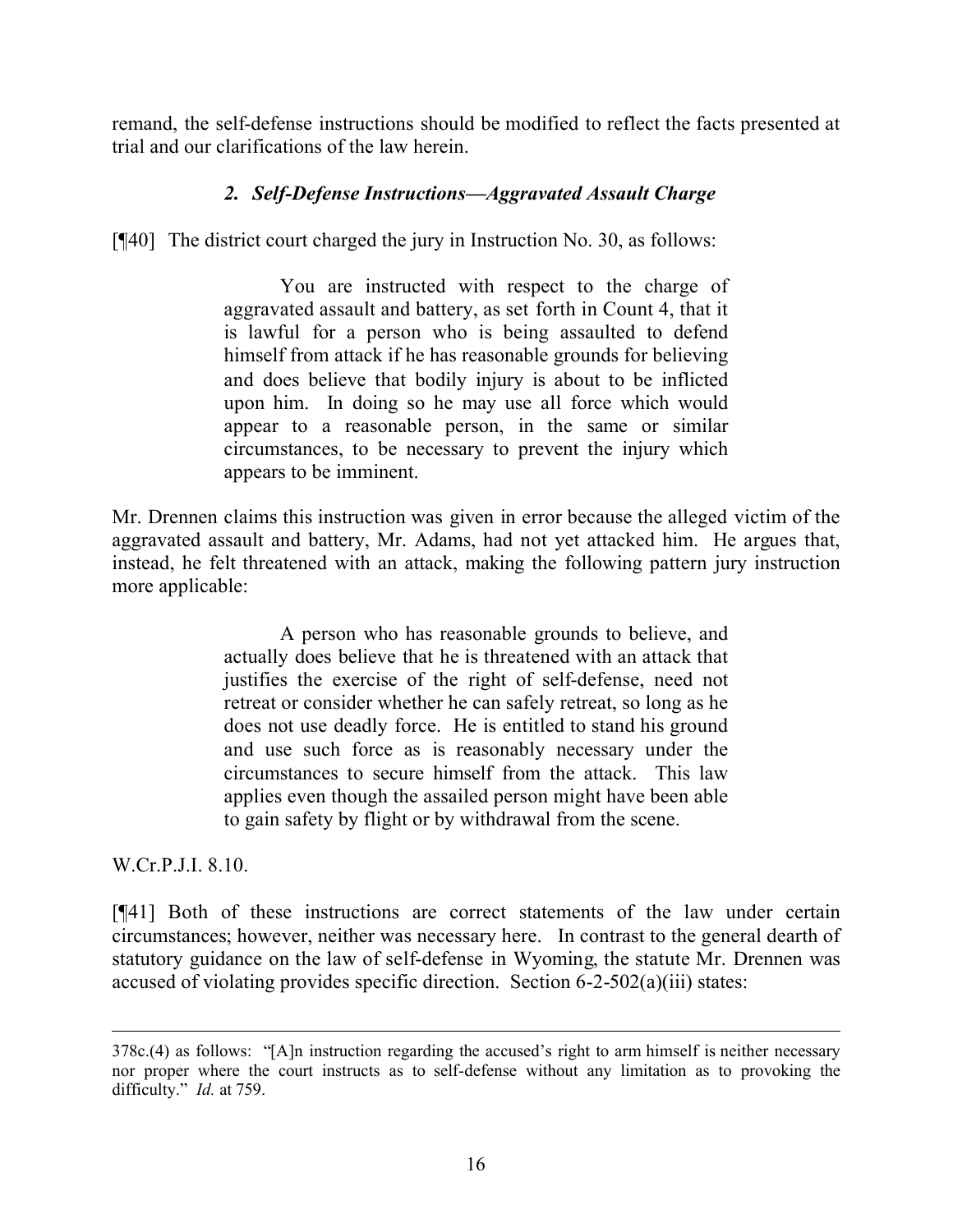remand, the self-defense instructions should be modified to reflect the facts presented at trial and our clarifications of the law herein.

### *2. Self-Defense Instructions—Aggravated Assault Charge*

[¶40] The district court charged the jury in Instruction No. 30, as follows:

You are instructed with respect to the charge of aggravated assault and battery, as set forth in Count 4, that it is lawful for a person who is being assaulted to defend himself from attack if he has reasonable grounds for believing and does believe that bodily injury is about to be inflicted upon him. In doing so he may use all force which would appear to a reasonable person, in the same or similar circumstances, to be necessary to prevent the injury which appears to be imminent.

Mr. Drennen claims this instruction was given in error because the alleged victim of the aggravated assault and battery, Mr. Adams, had not yet attacked him. He argues that, instead, he felt threatened with an attack, making the following pattern jury instruction more applicable:

> A person who has reasonable grounds to believe, and actually does believe that he is threatened with an attack that justifies the exercise of the right of self-defense, need not retreat or consider whether he can safely retreat, so long as he does not use deadly force. He is entitled to stand his ground and use such force as is reasonably necessary under the circumstances to secure himself from the attack. This law applies even though the assailed person might have been able to gain safety by flight or by withdrawal from the scene.

W.Cr.P.J.I. 8.10.

 $\overline{a}$ 

[¶41] Both of these instructions are correct statements of the law under certain circumstances; however, neither was necessary here. In contrast to the general dearth of statutory guidance on the law of self-defense in Wyoming, the statute Mr. Drennen was accused of violating provides specific direction. Section 6-2-502(a)(iii) states:

<sup>378</sup>c.(4) as follows: "[A]n instruction regarding the accused's right to arm himself is neither necessary nor proper where the court instructs as to self-defense without any limitation as to provoking the difficulty." *Id.* at 759.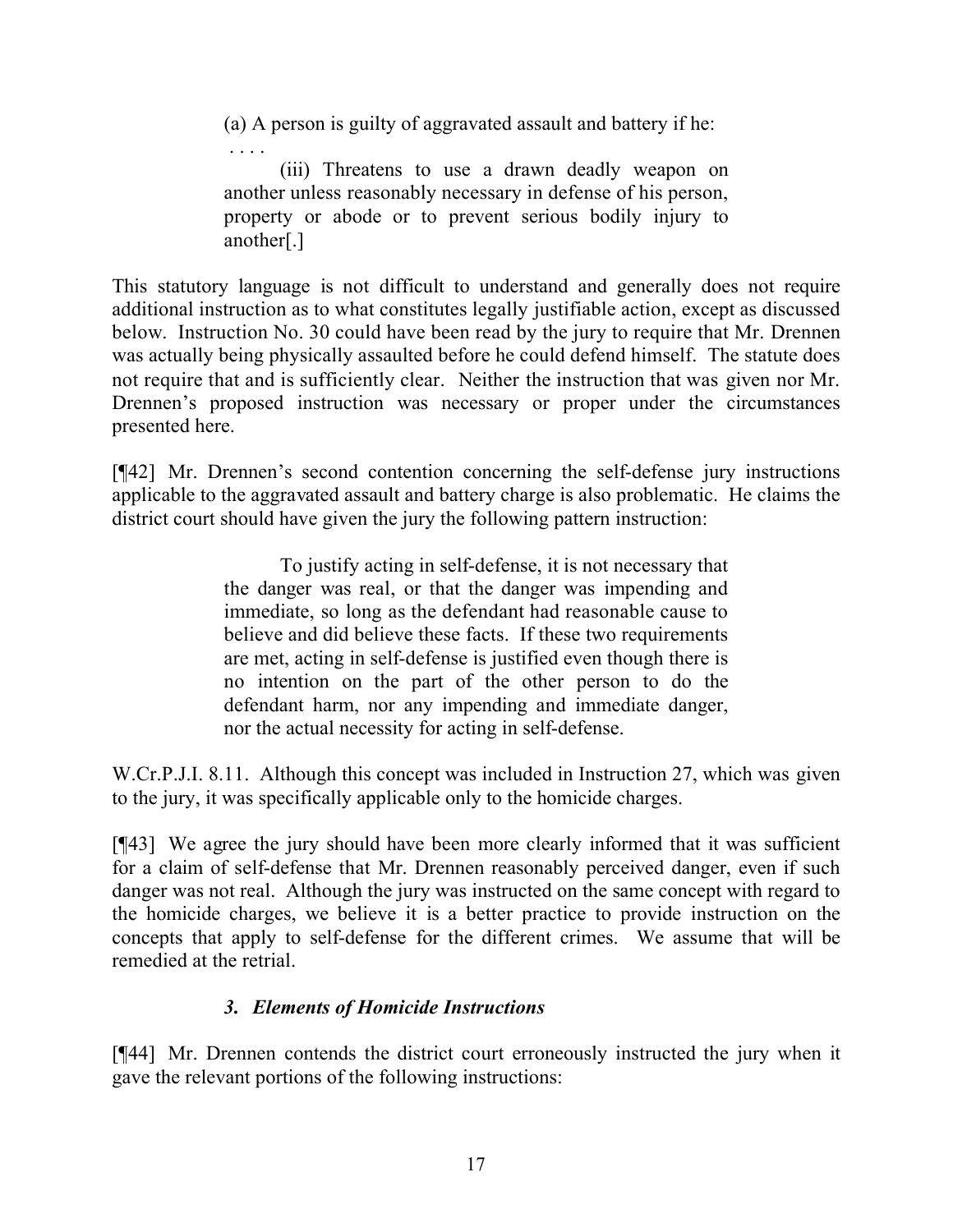(a) A person is guilty of aggravated assault and battery if he:

. . . . (iii) Threatens to use a drawn deadly weapon on another unless reasonably necessary in defense of his person, property or abode or to prevent serious bodily injury to another[.]

This statutory language is not difficult to understand and generally does not require additional instruction as to what constitutes legally justifiable action, except as discussed below. Instruction No. 30 could have been read by the jury to require that Mr. Drennen was actually being physically assaulted before he could defend himself. The statute does not require that and is sufficiently clear. Neither the instruction that was given nor Mr. Drennen's proposed instruction was necessary or proper under the circumstances presented here.

[¶42] Mr. Drennen's second contention concerning the self-defense jury instructions applicable to the aggravated assault and battery charge is also problematic. He claims the district court should have given the jury the following pattern instruction:

> To justify acting in self-defense, it is not necessary that the danger was real, or that the danger was impending and immediate, so long as the defendant had reasonable cause to believe and did believe these facts. If these two requirements are met, acting in self-defense is justified even though there is no intention on the part of the other person to do the defendant harm, nor any impending and immediate danger, nor the actual necessity for acting in self-defense.

W.Cr.P.J.I. 8.11. Although this concept was included in Instruction 27, which was given to the jury, it was specifically applicable only to the homicide charges.

[¶43] We agree the jury should have been more clearly informed that it was sufficient for a claim of self-defense that Mr. Drennen reasonably perceived danger, even if such danger was not real. Although the jury was instructed on the same concept with regard to the homicide charges, we believe it is a better practice to provide instruction on the concepts that apply to self-defense for the different crimes. We assume that will be remedied at the retrial.

# *3. Elements of Homicide Instructions*

[¶44] Mr. Drennen contends the district court erroneously instructed the jury when it gave the relevant portions of the following instructions: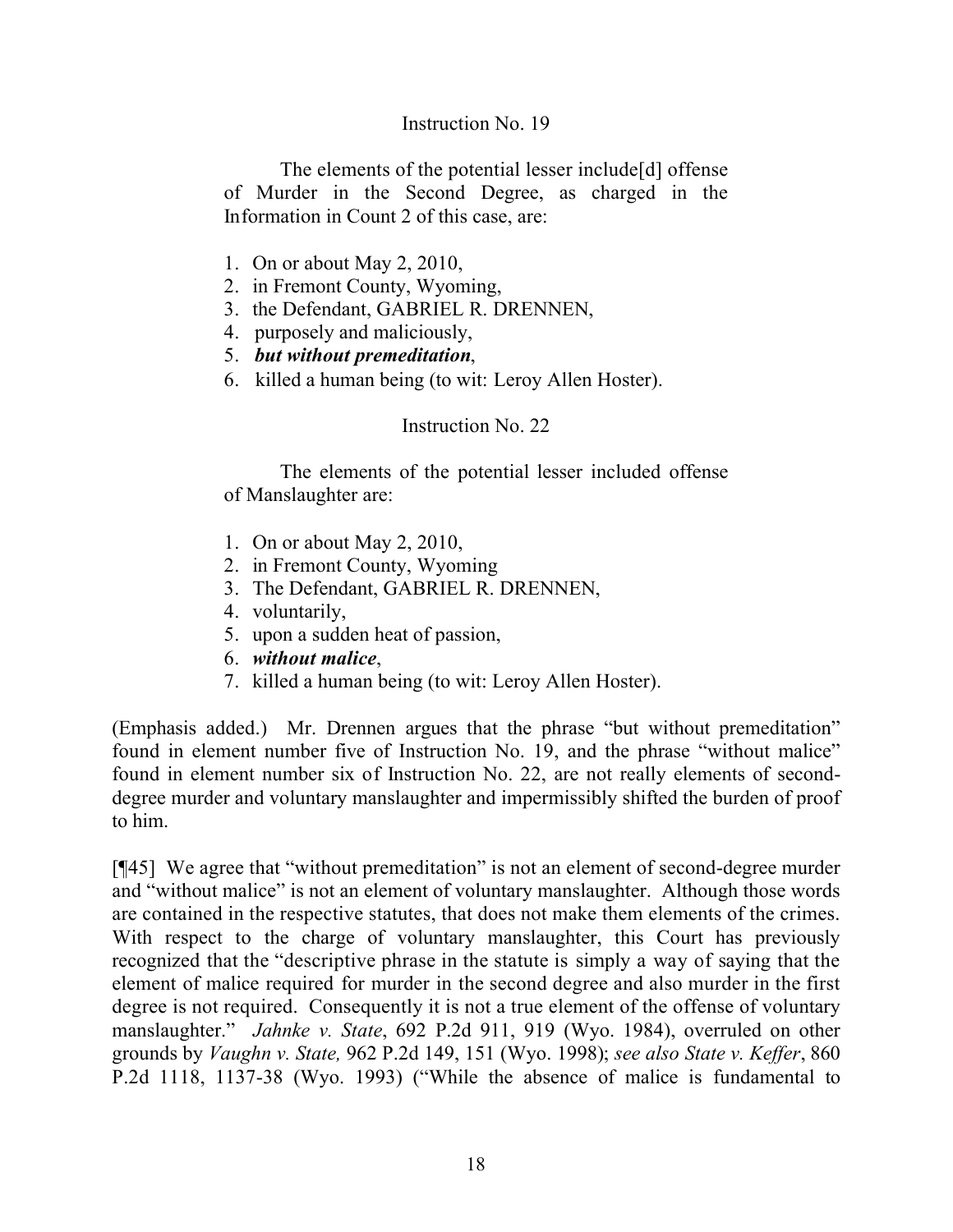#### Instruction No. 19

The elements of the potential lesser include[d] offense of Murder in the Second Degree, as charged in the Information in Count 2 of this case, are:

- 1. On or about May 2, 2010,
- 2. in Fremont County, Wyoming,
- 3. the Defendant, GABRIEL R. DRENNEN,
- 4. purposely and maliciously,
- 5. *but without premeditation*,
- 6. killed a human being (to wit: Leroy Allen Hoster).

#### Instruction No. 22

The elements of the potential lesser included offense of Manslaughter are:

- 1. On or about May 2, 2010,
- 2. in Fremont County, Wyoming
- 3. The Defendant, GABRIEL R. DRENNEN,
- 4. voluntarily,
- 5. upon a sudden heat of passion,
- 6. *without malice*,
- 7. killed a human being (to wit: Leroy Allen Hoster).

(Emphasis added.) Mr. Drennen argues that the phrase "but without premeditation" found in element number five of Instruction No. 19, and the phrase "without malice" found in element number six of Instruction No. 22, are not really elements of seconddegree murder and voluntary manslaughter and impermissibly shifted the burden of proof to him.

[¶45] We agree that "without premeditation" is not an element of second-degree murder and "without malice" is not an element of voluntary manslaughter. Although those words are contained in the respective statutes, that does not make them elements of the crimes. With respect to the charge of voluntary manslaughter, this Court has previously recognized that the "descriptive phrase in the statute is simply a way of saying that the element of malice required for murder in the second degree and also murder in the first degree is not required. Consequently it is not a true element of the offense of voluntary manslaughter." *Jahnke v. State*, 692 P.2d 911, 919 (Wyo. 1984), overruled on other grounds by *Vaughn v. State,* 962 P.2d 149, 151 (Wyo. 1998); *see also State v. Keffer*, 860 P.2d 1118, 1137-38 (Wyo. 1993) ("While the absence of malice is fundamental to